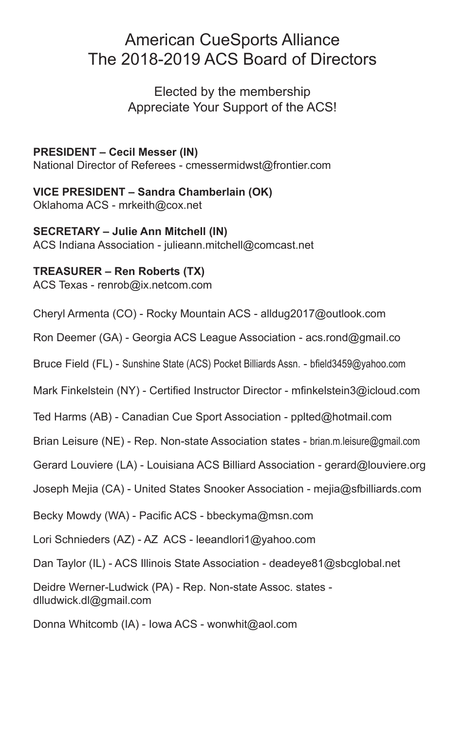#### American CueSports Alliance The 2018-2019 ACS Board of Directors

Elected by the membership Appreciate Your Support of the ACS!

**PRESIDENT – Cecil Messer (IN)** National Director of Referees - cmessermidwst@frontier.com

**VICE PRESIDENT – Sandra Chamberlain (OK)**  Oklahoma ACS - mrkeith@cox.net

**SECRETARY – Julie Ann Mitchell (IN)** ACS Indiana Association - julieann.mitchell@comcast.net

#### **TREASURER – Ren Roberts (TX)**

ACS Texas - renrob@ix.netcom.com

Cheryl Armenta (CO) - Rocky Mountain ACS - alldug2017@outlook.com

Ron Deemer (GA) - Georgia ACS League Association - acs.rond@gmail.co

Bruce Field (FL) - Sunshine State (ACS) Pocket Billiards Assn. - bfield3459@yahoo.com

Mark Finkelstein (NY) - Certified Instructor Director - mfinkelstein3@icloud.com

Ted Harms (AB) - Canadian Cue Sport Association - pplted@hotmail.com

Brian Leisure (NE) - Rep. Non-state Association states - brian.m.leisure@gmail.com

Gerard Louviere (LA) - Louisiana ACS Billiard Association - gerard@louviere.org

Joseph Mejia (CA) - United States Snooker Association - mejia@sfbilliards.com

Becky Mowdy (WA) - Pacific ACS - bbeckyma@msn.com

Lori Schnieders (AZ) - AZ ACS - leeandlori1@yahoo.com

Dan Taylor (IL) - ACS Illinois State Association - deadeye81@sbcglobal.net

Deidre Werner-Ludwick (PA) - Rep. Non-state Assoc. states dlludwick.dl@gmail.com

Donna Whitcomb (IA) - Iowa ACS - wonwhit@aol.com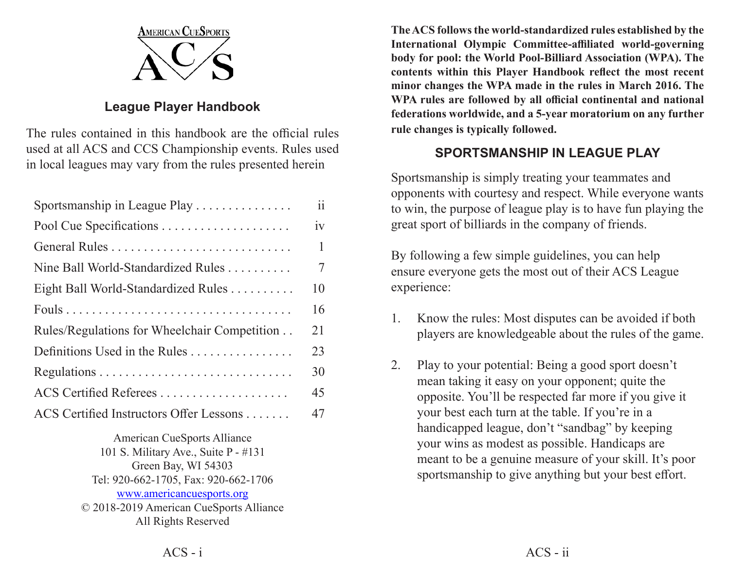

#### **League Player Handbook**

The rules contained in this handbook are the official rules used at all ACS and CCS Championship events. Rules used in local leagues may vary from the rules presented herein

| Sportsmanship in League Play                                 | $\ddot{\rm n}$ |
|--------------------------------------------------------------|----------------|
| Pool Cue Specifications                                      | iv             |
|                                                              | 1              |
| Nine Ball World-Standardized Rules                           | 7              |
| Eight Ball World-Standardized Rules                          | 10             |
|                                                              | 16             |
| Rules/Regulations for Wheelchair Competition                 | 21             |
| Definitions Used in the Rules $\ldots$ , $\ldots$ , $\ldots$ | 23             |
|                                                              | 30             |
| ACS Certified Referees                                       | 45             |
| ACS Certified Instructors Offer Lessons                      | 47             |

American CueSports Alliance 101 S. Military Ave., Suite P - #131 Green Bay, WI 54303 Tel: 920-662-1705, Fax: 920-662-1706 www.americancuesports.org © 2018-2019 American CueSports Alliance All Rights Reserved

**The ACS follows the world-standardized rules established by the International Olympic Committee-affiliated world-governing body for pool: the World Pool-Billiard Association (WPA). The contents within this Player Handbook reflect the most recent minor changes the WPA made in the rules in March 2016. The WPA rules are followed by all official continental and national federations worldwide, and a 5-year moratorium on any further rule changes is typically followed.**

#### **SPORTSMANSHIP IN LEAGUE PLAY**

Sportsmanship is simply treating your teammates and opponents with courtesy and respect. While everyone wants to win, the purpose of league play is to have fun playing the great sport of billiards in the company of friends.

By following a few simple guidelines, you can help ensure everyone gets the most out of their ACS League experience:

- 1. Know the rules: Most disputes can be avoided if both players are knowledgeable about the rules of the game.
- 2. Play to your potential: Being a good sport doesn't mean taking it easy on your opponent; quite the opposite. You'll be respected far more if you give it your best each turn at the table. If you're in a handicapped league, don't "sandbag" by keeping your wins as modest as possible. Handicaps are meant to be a genuine measure of your skill. It's poor sportsmanship to give anything but your best effort.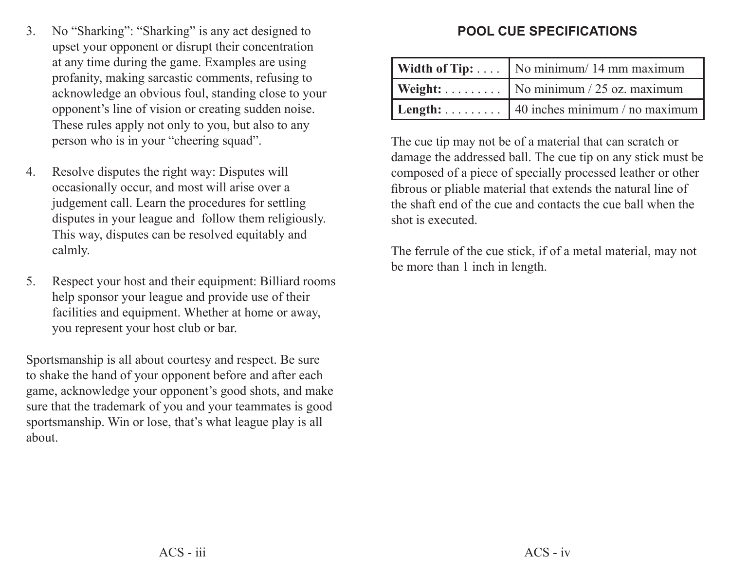- 3. No "Sharking": "Sharking" is any act designed to upset your opponent or disrupt their concentration at any time during the game. Examples are using profanity, making sarcastic comments, refusing to acknowledge an obvious foul, standing close to your opponent's line of vision or creating sudden noise. These rules apply not only to you, but also to any person who is in your "cheering squad".
- 4. Resolve disputes the right way: Disputes will occasionally occur, and most will arise over a judgement call. Learn the procedures for settling disputes in your league and follow them religiously. This way, disputes can be resolved equitably and calmly.
- 5. Respect your host and their equipment: Billiard rooms help sponsor your league and provide use of their facilities and equipment. Whether at home or away, you represent your host club or bar.

Sportsmanship is all about courtesy and respect. Be sure to shake the hand of your opponent before and after each game, acknowledge your opponent's good shots, and make sure that the trademark of you and your teammates is good sportsmanship. Win or lose, that's what league play is all about.

#### **POOL CUE SPECIFICATIONS**

| Width of Tip: $\dots$   No minimum/ 14 mm maximum                     |
|-----------------------------------------------------------------------|
| <b>Weight:</b>   No minimum / 25 oz. maximum                          |
| <b>Length:</b> $\dots$ $\dots$ $\cdot$ 40 inches minimum / no maximum |

The cue tip may not be of a material that can scratch or damage the addressed ball. The cue tip on any stick must be composed of a piece of specially processed leather or other fibrous or pliable material that extends the natural line of the shaft end of the cue and contacts the cue ball when the shot is executed.

The ferrule of the cue stick, if of a metal material, may not be more than 1 inch in length.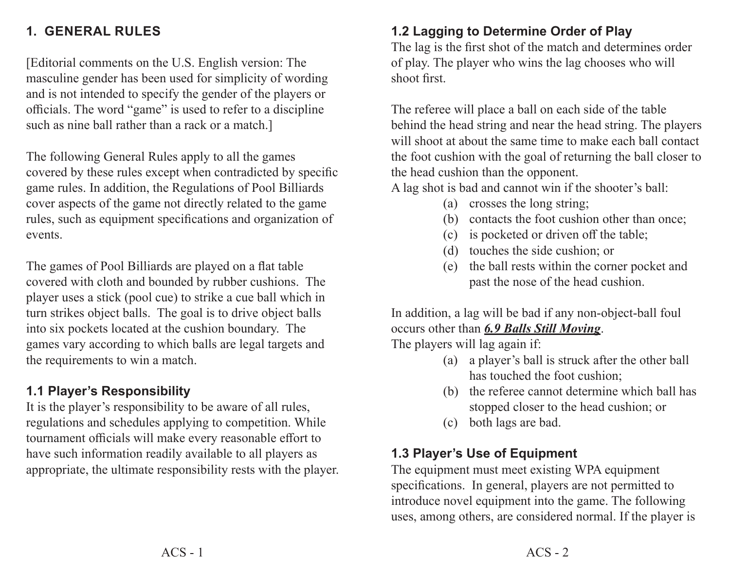## **1. GENERAL RULES**

[Editorial comments on the U.S. English version: The masculine gender has been used for simplicity of wording and is not intended to specify the gender of the players or officials. The word "game" is used to refer to a discipline such as nine ball rather than a rack or a match.]

The following General Rules apply to all the games covered by these rules except when contradicted by specific game rules. In addition, the Regulations of Pool Billiards cover aspects of the game not directly related to the game rules, such as equipment specifications and organization of events.

The games of Pool Billiards are played on a flat table covered with cloth and bounded by rubber cushions. The player uses a stick (pool cue) to strike a cue ball which in turn strikes object balls. The goal is to drive object balls into six pockets located at the cushion boundary. The games vary according to which balls are legal targets and the requirements to win a match.

#### **1.1 Player's Responsibility**

It is the player's responsibility to be aware of all rules, regulations and schedules applying to competition. While tournament officials will make every reasonable effort to have such information readily available to all players as appropriate, the ultimate responsibility rests with the player.

#### **1.2 Lagging to Determine Order of Play**

The lag is the first shot of the match and determines order of play. The player who wins the lag chooses who will shoot first.

The referee will place a ball on each side of the table behind the head string and near the head string. The players will shoot at about the same time to make each ball contact the foot cushion with the goal of returning the ball closer to the head cushion than the opponent.

A lag shot is bad and cannot win if the shooter's ball:

- (a) crosses the long string;
- (b) contacts the foot cushion other than once;
- (c) is pocketed or driven off the table;
- (d) touches the side cushion; or
- (e) the ball rests within the corner pocket and past the nose of the head cushion.

In addition, a lag will be bad if any non-object-ball foul occurs other than *6.9 Balls Still Moving*.

The players will lag again if:

- (a) a player's ball is struck after the other ball has touched the foot cushion;
- (b) the referee cannot determine which ball has stopped closer to the head cushion; or
- (c) both lags are bad.

#### **1.3 Player's Use of Equipment**

The equipment must meet existing WPA equipment specifications. In general, players are not permitted to introduce novel equipment into the game. The following uses, among others, are considered normal. If the player is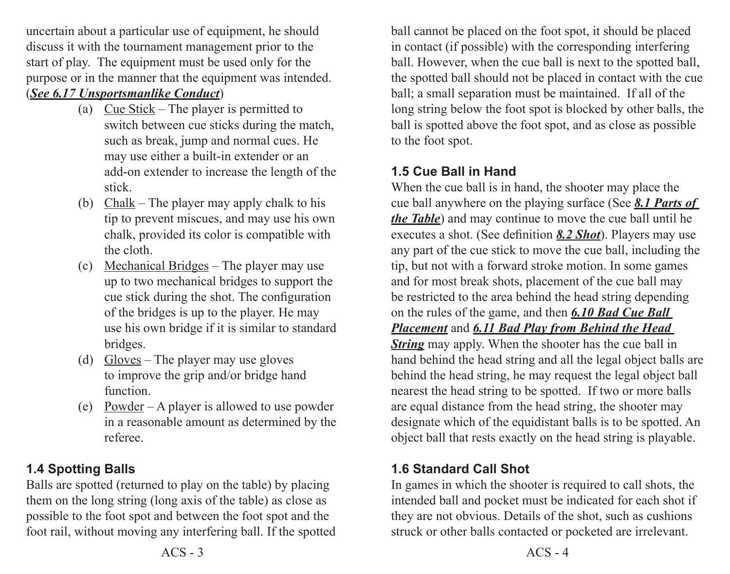uncertain about a particular use of equipment, he should discuss it with the tournament management prior to the start of play. The equipment must be used only for the purpose or in the manner that the equipment was intended. (*See 6.17 Unsportsmanlike Conduct*)

- (a) Cue Stick The player is permitted to switch between cue sticks during the match, such as break, jump and normal cues. He may use either a built-in extender or an add-on extender to increase the length of the stick.
- (b)  $Chalk$  The player may apply chalk to his tip to prevent miscues, and may use his own chalk, provided its color is compatible with the cloth.
- (c) Mechanical Bridges The player may use up to two mechanical bridges to support the cue stick during the shot. The configuration of the bridges is up to the player. He may use his own bridge if it is similar to standard bridges.
- (d) Gloves The player may use gloves to improve the grip and/or bridge hand function.
- (e) Powder A player is allowed to use powder in a reasonable amount as determined by the referee.

## **1.4 Spotting Balls**

Balls are spotted (returned to play on the table) by placing them on the long string (long axis of the table) as close as possible to the foot spot and between the foot spot and the foot rail, without moving any interfering ball. If the spotted ball cannot be placed on the foot spot, it should be placed in contact (if possible) with the corresponding interfering ball. However, when the cue ball is next to the spotted ball, the spotted ball should not be placed in contact with the cue ball; a small separation must be maintained. If all of the long string below the foot spot is blocked by other balls, the ball is spotted above the foot spot, and as close as possible to the foot spot.

#### **1.5 Cue Ball in Hand**

When the cue ball is in hand, the shooter may place the cue ball anywhere on the playing surface (See *8.1 Parts of the Table*) and may continue to move the cue ball until he executes a shot. (See definition *8.2 Shot*). Players may use any part of the cue stick to move the cue ball, including the tip, but not with a forward stroke motion. In some games and for most break shots, placement of the cue ball may be restricted to the area behind the head string depending on the rules of the game, and then *6.10 Bad Cue Ball Placement* and *6.11 Bad Play from Behind the Head*  **String** may apply. When the shooter has the cue ball in hand behind the head string and all the legal object balls are behind the head string, he may request the legal object ball nearest the head string to be spotted. If two or more balls are equal distance from the head string, the shooter may designate which of the equidistant balls is to be spotted. An object ball that rests exactly on the head string is playable.

#### **1.6 Standard Call Shot**

In games in which the shooter is required to call shots, the intended ball and pocket must be indicated for each shot if they are not obvious. Details of the shot, such as cushions struck or other balls contacted or pocketed are irrelevant.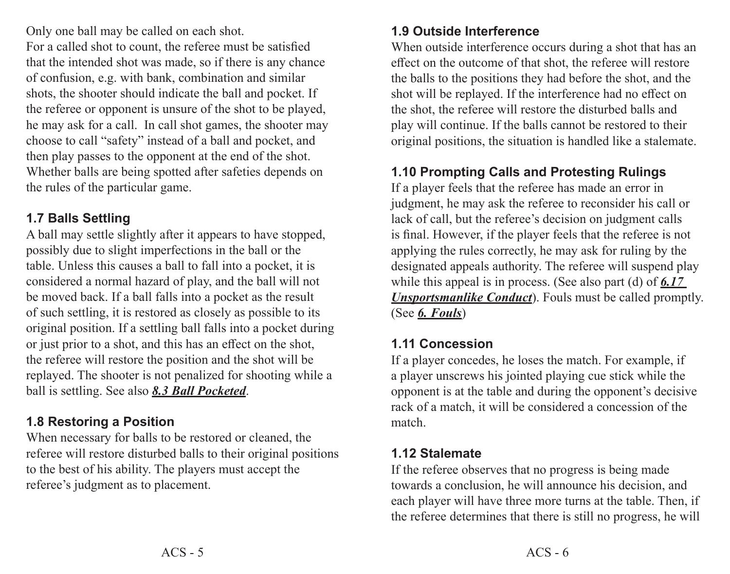Only one ball may be called on each shot. For a called shot to count, the referee must be satisfied that the intended shot was made, so if there is any chance of confusion, e.g. with bank, combination and similar shots, the shooter should indicate the ball and pocket. If the referee or opponent is unsure of the shot to be played, he may ask for a call. In call shot games, the shooter may choose to call "safety" instead of a ball and pocket, and then play passes to the opponent at the end of the shot. Whether balls are being spotted after safeties depends on the rules of the particular game.

#### **1.7 Balls Settling**

A ball may settle slightly after it appears to have stopped, possibly due to slight imperfections in the ball or the table. Unless this causes a ball to fall into a pocket, it is considered a normal hazard of play, and the ball will not be moved back. If a ball falls into a pocket as the result of such settling, it is restored as closely as possible to its original position. If a settling ball falls into a pocket during or just prior to a shot, and this has an effect on the shot, the referee will restore the position and the shot will be replayed. The shooter is not penalized for shooting while a ball is settling. See also *8.3 Ball Pocketed*.

## **1.8 Restoring a Position**

When necessary for balls to be restored or cleaned, the referee will restore disturbed balls to their original positions to the best of his ability. The players must accept the referee's judgment as to placement.

## **1.9 Outside Interference**

When outside interference occurs during a shot that has an effect on the outcome of that shot, the referee will restore the balls to the positions they had before the shot, and the shot will be replayed. If the interference had no effect on the shot, the referee will restore the disturbed balls and play will continue. If the balls cannot be restored to their original positions, the situation is handled like a stalemate.

## **1.10 Prompting Calls and Protesting Rulings**

If a player feels that the referee has made an error in judgment, he may ask the referee to reconsider his call or lack of call, but the referee's decision on judgment calls is final. However, if the player feels that the referee is not applying the rules correctly, he may ask for ruling by the designated appeals authority. The referee will suspend play while this appeal is in process. (See also part (d) of *6.17 Unsportsmanlike Conduct*). Fouls must be called promptly. (See *6. Fouls*)

## **1.11 Concession**

If a player concedes, he loses the match. For example, if a player unscrews his jointed playing cue stick while the opponent is at the table and during the opponent's decisive rack of a match, it will be considered a concession of the match.

#### **1.12 Stalemate**

If the referee observes that no progress is being made towards a conclusion, he will announce his decision, and each player will have three more turns at the table. Then, if the referee determines that there is still no progress, he will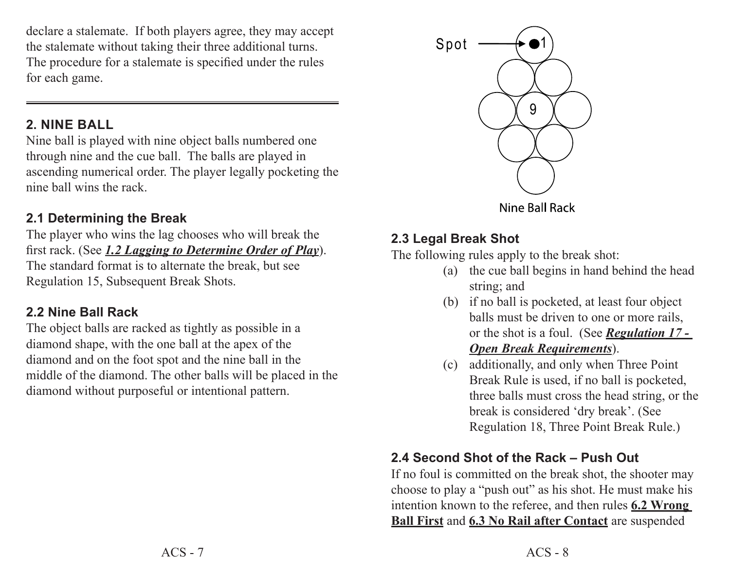declare a stalemate. If both players agree, they may accept the stalemate without taking their three additional turns. The procedure for a stalemate is specified under the rules for each game.

#### **2. NINE BALL**

Nine ball is played with nine object balls numbered one through nine and the cue ball. The balls are played in ascending numerical order. The player legally pocketing the nine ball wins the rack.

## **2.1 Determining the Break**

The player who wins the lag chooses who will break the first rack. (See *1.2 Lagging to Determine Order of Play*). The standard format is to alternate the break, but see Regulation 15, Subsequent Break Shots.

#### **2.2 Nine Ball Rack**

The object balls are racked as tightly as possible in a diamond shape, with the one ball at the apex of the diamond and on the foot spot and the nine ball in the middle of the diamond. The other balls will be placed in the diamond without purposeful or intentional pattern.



#### Nine Ball Rack

#### **2.3 Legal Break Shot**

The following rules apply to the break shot:

- (a) the cue ball begins in hand behind the head string; and
- (b) if no ball is pocketed, at least four object balls must be driven to one or more rails, or the shot is a foul. (See *Regulation 17 - Open Break Requirements*).
- (c) additionally, and only when Three Point Break Rule is used, if no ball is pocketed, three balls must cross the head string, or the break is considered 'dry break'. (See Regulation 18, Three Point Break Rule.)

## **2.4 Second Shot of the Rack – Push Out**

If no foul is committed on the break shot, the shooter may choose to play a "push out" as his shot. He must make his intention known to the referee, and then rules **6.2 Wrong Ball First** and **6.3 No Rail after Contact** are suspended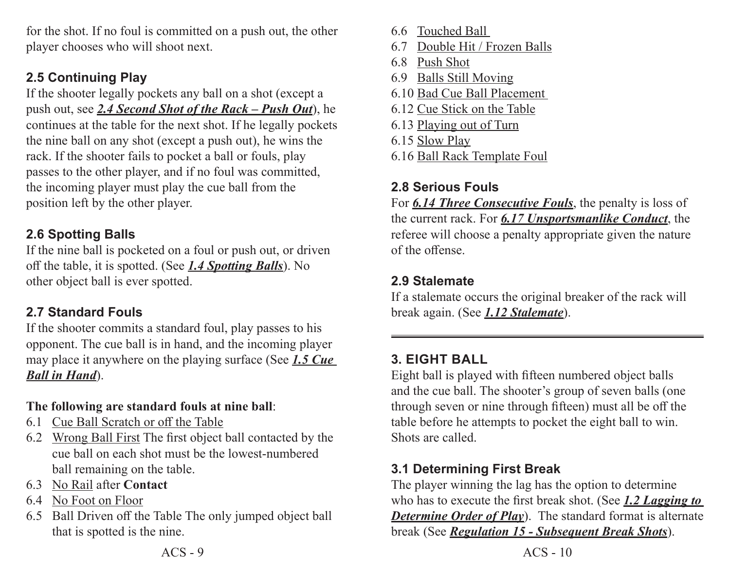for the shot. If no foul is committed on a push out, the other player chooses who will shoot next.

## **2.5 Continuing Play**

If the shooter legally pockets any ball on a shot (except a push out, see *2.4 Second Shot of the Rack – Push Out*), he continues at the table for the next shot. If he legally pockets the nine ball on any shot (except a push out), he wins the rack. If the shooter fails to pocket a ball or fouls, play passes to the other player, and if no foul was committed, the incoming player must play the cue ball from the position left by the other player.

## **2.6 Spotting Balls**

If the nine ball is pocketed on a foul or push out, or driven off the table, it is spotted. (See *1.4 Spotting Balls*). No other object ball is ever spotted.

## **2.7 Standard Fouls**

If the shooter commits a standard foul, play passes to his opponent. The cue ball is in hand, and the incoming player may place it anywhere on the playing surface (See *1.5 Cue Ball in Hand*).

#### **The following are standard fouls at nine ball**:

- 6.1 Cue Ball Scratch or off the Table
- 6.2 Wrong Ball First The first object ball contacted by the cue ball on each shot must be the lowest-numbered ball remaining on the table.
- 6.3 No Rail after **Contact**
- 6.4 No Foot on Floor
- 6.5 Ball Driven off the Table The only jumped object ball that is spotted is the nine.
- 6.6 Touched Ball
- 6.7 Double Hit / Frozen Balls
- 6.8 Push Shot
- 6.9 Balls Still Moving
- 6.10 Bad Cue Ball Placement
- 6.12 Cue Stick on the Table
- 6.13 Playing out of Turn
- 6.15 Slow Play
- 6.16 Ball Rack Template Foul

## **2.8 Serious Fouls**

For *6.14 Three Consecutive Fouls*, the penalty is loss of the current rack. For *6.17 Unsportsmanlike Conduct*, the referee will choose a penalty appropriate given the nature of the offense.

## **2.9 Stalemate**

If a stalemate occurs the original breaker of the rack will break again. (See *1.12 Stalemate*).

## **3. EIGHT BALL**

Eight ball is played with fifteen numbered object balls and the cue ball. The shooter's group of seven balls (one through seven or nine through fifteen) must all be off the table before he attempts to pocket the eight ball to win. Shots are called.

## **3.1 Determining First Break**

The player winning the lag has the option to determine who has to execute the first break shot. (See *1.2 Lagging to Determine Order of Play*). The standard format is alternate break (See *Regulation 15 - Subsequent Break Shots*).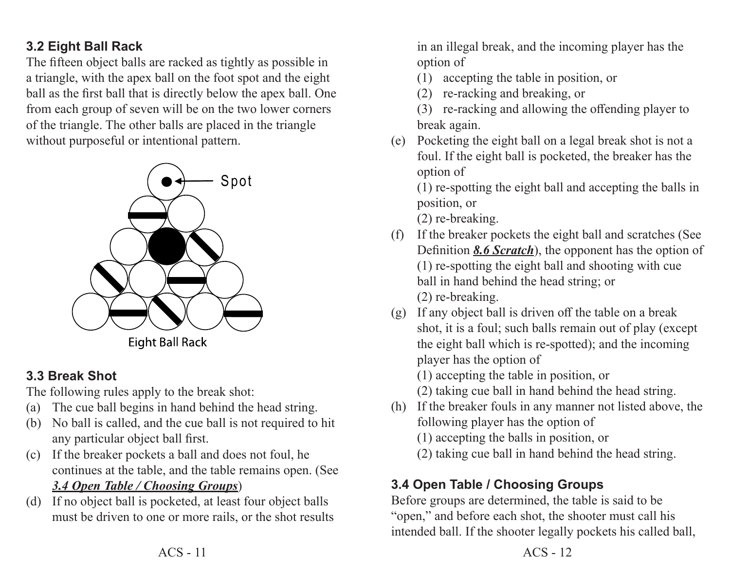## **3.2 Eight Ball Rack**

The fifteen object balls are racked as tightly as possible in a triangle, with the apex ball on the foot spot and the eight ball as the first ball that is directly below the apex ball. One from each group of seven will be on the two lower corners of the triangle. The other balls are placed in the triangle without purposeful or intentional pattern.



#### **3.3 Break Shot**

The following rules apply to the break shot:

- (a) The cue ball begins in hand behind the head string.
- (b) No ball is called, and the cue ball is not required to hit any particular object ball first.
- (c) If the breaker pockets a ball and does not foul, he continues at the table, and the table remains open. (See *3.4 Open Table / Choosing Groups*)
- (d) If no object ball is pocketed, at least four object balls must be driven to one or more rails, or the shot results

in an illegal break, and the incoming player has the option of

- (1) accepting the table in position, or
- (2) re-racking and breaking, or
- (3) re-racking and allowing the offending player to break again.
- (e) Pocketing the eight ball on a legal break shot is not a foul. If the eight ball is pocketed, the breaker has the option of

(1) re-spotting the eight ball and accepting the balls in position, or

(2) re-breaking.

- (f) If the breaker pockets the eight ball and scratches (See Definition *8.6 Scratch*), the opponent has the option of (1) re-spotting the eight ball and shooting with cue ball in hand behind the head string; or (2) re-breaking.
- (g) If any object ball is driven off the table on a break shot, it is a foul; such balls remain out of play (except the eight ball which is re-spotted); and the incoming player has the option of
	- (1) accepting the table in position, or
	- (2) taking cue ball in hand behind the head string.
- (h) If the breaker fouls in any manner not listed above, the following player has the option of
	- (1) accepting the balls in position, or
	- (2) taking cue ball in hand behind the head string.

## **3.4 Open Table / Choosing Groups**

Before groups are determined, the table is said to be "open," and before each shot, the shooter must call his intended ball. If the shooter legally pockets his called ball,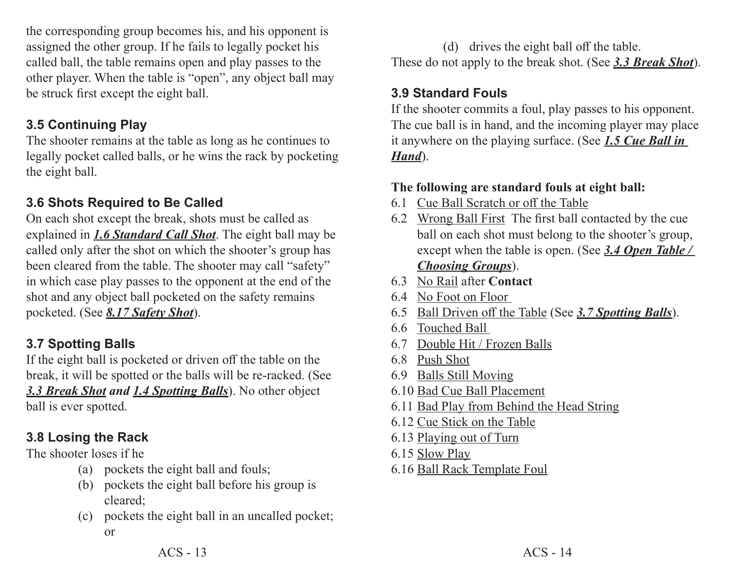the corresponding group becomes his, and his opponent is assigned the other group. If he fails to legally pocket his called ball, the table remains open and play passes to the other player. When the table is "open", any object ball may be struck first except the eight ball.

## **3.5 Continuing Play**

The shooter remains at the table as long as he continues to legally pocket called balls, or he wins the rack by pocketing the eight ball.

## **3.6 Shots Required to Be Called**

On each shot except the break, shots must be called as explained in *1.6 Standard Call Shot*. The eight ball may be called only after the shot on which the shooter's group has been cleared from the table. The shooter may call "safety" in which case play passes to the opponent at the end of the shot and any object ball pocketed on the safety remains pocketed. (See *8.17 Safety Shot*).

## **3.7 Spotting Balls**

If the eight ball is pocketed or driven off the table on the break, it will be spotted or the balls will be re-racked. (See *3.3 Break Shot and 1.4 Spotting Balls*). No other object ball is ever spotted.

## **3.8 Losing the Rack**

The shooter loses if he

- (a) pockets the eight ball and fouls;
- (b) pockets the eight ball before his group is cleared;
- (c) pockets the eight ball in an uncalled pocket; or

(d) drives the eight ball off the table. These do not apply to the break shot. (See *3.3 Break Shot*).

#### **3.9 Standard Fouls**

If the shooter commits a foul, play passes to his opponent. The cue ball is in hand, and the incoming player may place it anywhere on the playing surface. (See *1.5 Cue Ball in Hand*).

#### **The following are standard fouls at eight ball:**

- 6.1 Cue Ball Scratch or off the Table
- 6.2 Wrong Ball First The first ball contacted by the cue ball on each shot must belong to the shooter's group, except when the table is open. (See *3.4 Open Table / Choosing Groups*).
- 6.3 No Rail after **Contact**
- 6.4 No Foot on Floor
- 6.5 Ball Driven off the Table (See *3.7 Spotting Balls*).
- 6.6 Touched Ball
- 6.7 Double Hit / Frozen Balls
- 6.8 Push Shot
- 6.9 Balls Still Moving
- 6.10 Bad Cue Ball Placement
- 6.11 Bad Play from Behind the Head String
- 6.12 Cue Stick on the Table
- 6.13 Playing out of Turn
- 6.15 Slow Play
- 6.16 Ball Rack Template Foul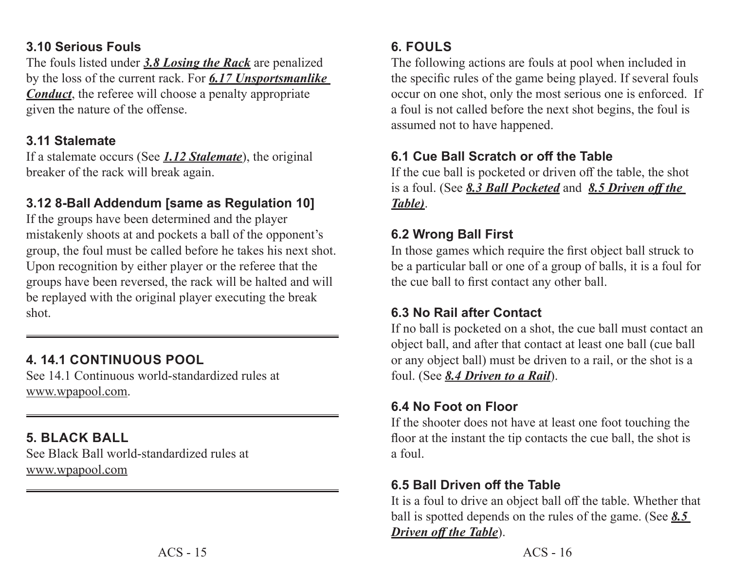#### **3.10 Serious Fouls**

The fouls listed under *3.8 Losing the Rack* are penalized by the loss of the current rack. For *6.17 Unsportsmanlike Conduct*, the referee will choose a penalty appropriate given the nature of the offense.

#### **3.11 Stalemate**

If a stalemate occurs (See *1.12 Stalemate*), the original breaker of the rack will break again.

#### **3.12 8-Ball Addendum [same as Regulation 10]**

If the groups have been determined and the player mistakenly shoots at and pockets a ball of the opponent's group, the foul must be called before he takes his next shot. Upon recognition by either player or the referee that the groups have been reversed, the rack will be halted and will be replayed with the original player executing the break shot.

#### **4. 14.1 CONTINUOUS POOL**

See 14.1 Continuous world-standardized rules at www.wpapool.com.

#### **5. BLACK BALL**

See Black Ball world-standardized rules at www.wpapool.com

## **6. FOULS**

The following actions are fouls at pool when included in the specific rules of the game being played. If several fouls occur on one shot, only the most serious one is enforced. If a foul is not called before the next shot begins, the foul is assumed not to have happened.

#### **6.1 Cue Ball Scratch or off the Table**

If the cue ball is pocketed or driven off the table, the shot is a foul. (See *8.3 Ball Pocketed* and *8.5 Driven off the Table)*.

#### **6.2 Wrong Ball First**

In those games which require the first object ball struck to be a particular ball or one of a group of balls, it is a foul for the cue ball to first contact any other ball.

#### **6.3 No Rail after Contact**

If no ball is pocketed on a shot, the cue ball must contact an object ball, and after that contact at least one ball (cue ball or any object ball) must be driven to a rail, or the shot is a foul. (See *8.4 Driven to a Rail*).

#### **6.4 No Foot on Floor**

If the shooter does not have at least one foot touching the floor at the instant the tip contacts the cue ball, the shot is a foul.

#### **6.5 Ball Driven off the Table**

It is a foul to drive an object ball off the table. Whether that ball is spotted depends on the rules of the game. (See *8.5 Driven off the Table*).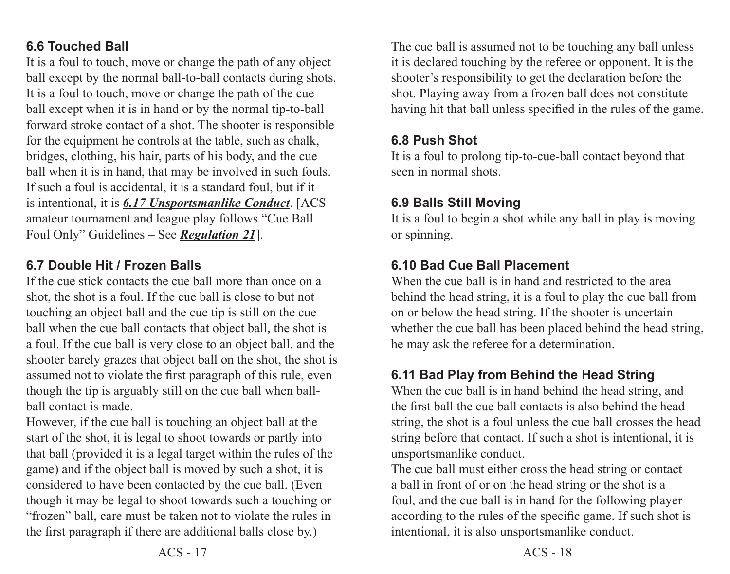### **6.6 Touched Ball**

It is a foul to touch, move or change the path of any object ball except by the normal ball-to-ball contacts during shots. It is a foul to touch, move or change the path of the cue ball except when it is in hand or by the normal tip-to-ball forward stroke contact of a shot. The shooter is responsible for the equipment he controls at the table, such as chalk, bridges, clothing, his hair, parts of his body, and the cue ball when it is in hand, that may be involved in such fouls. If such a foul is accidental, it is a standard foul, but if it is intentional, it is *6.17 Unsportsmanlike Conduct*. [ACS amateur tournament and league play follows "Cue Ball Foul Only" Guidelines – See *Regulation 21*].

#### **6.7 Double Hit / Frozen Balls**

If the cue stick contacts the cue ball more than once on a shot, the shot is a foul. If the cue ball is close to but not touching an object ball and the cue tip is still on the cue ball when the cue ball contacts that object ball, the shot is a foul. If the cue ball is very close to an object ball, and the shooter barely grazes that object ball on the shot, the shot is assumed not to violate the first paragraph of this rule, even though the tip is arguably still on the cue ball when ballball contact is made.

However, if the cue ball is touching an object ball at the start of the shot, it is legal to shoot towards or partly into that ball (provided it is a legal target within the rules of the game) and if the object ball is moved by such a shot, it is considered to have been contacted by the cue ball. (Even though it may be legal to shoot towards such a touching or "frozen" ball, care must be taken not to violate the rules in the first paragraph if there are additional balls close by.)

The cue ball is assumed not to be touching any ball unless it is declared touching by the referee or opponent. It is the shooter's responsibility to get the declaration before the shot. Playing away from a frozen ball does not constitute having hit that ball unless specified in the rules of the game.

#### **6.8 Push Shot**

It is a foul to prolong tip-to-cue-ball contact beyond that seen in normal shots.

#### **6.9 Balls Still Moving**

It is a foul to begin a shot while any ball in play is moving or spinning.

#### **6.10 Bad Cue Ball Placement**

When the cue ball is in hand and restricted to the area behind the head string, it is a foul to play the cue ball from on or below the head string. If the shooter is uncertain whether the cue ball has been placed behind the head string, he may ask the referee for a determination.

## **6.11 Bad Play from Behind the Head String**

When the cue ball is in hand behind the head string, and the first ball the cue ball contacts is also behind the head string, the shot is a foul unless the cue ball crosses the head string before that contact. If such a shot is intentional, it is unsportsmanlike conduct.

The cue ball must either cross the head string or contact a ball in front of or on the head string or the shot is a foul, and the cue ball is in hand for the following player according to the rules of the specific game. If such shot is intentional, it is also unsportsmanlike conduct.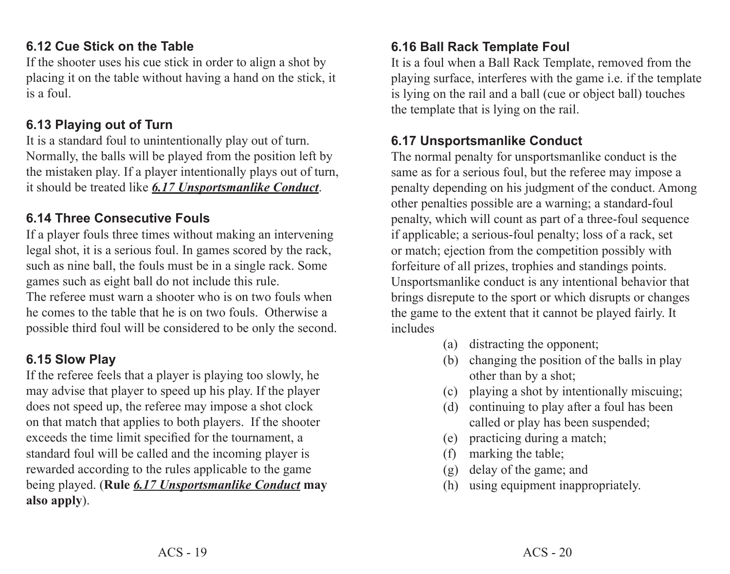#### **6.12 Cue Stick on the Table**

If the shooter uses his cue stick in order to align a shot by placing it on the table without having a hand on the stick, it is a foul.

#### **6.13 Playing out of Turn**

It is a standard foul to unintentionally play out of turn. Normally, the balls will be played from the position left by the mistaken play. If a player intentionally plays out of turn, it should be treated like *6.17 Unsportsmanlike Conduct*.

#### **6.14 Three Consecutive Fouls**

If a player fouls three times without making an intervening legal shot, it is a serious foul. In games scored by the rack, such as nine ball, the fouls must be in a single rack. Some games such as eight ball do not include this rule. The referee must warn a shooter who is on two fouls when he comes to the table that he is on two fouls. Otherwise a possible third foul will be considered to be only the second.

#### **6.15 Slow Play**

If the referee feels that a player is playing too slowly, he may advise that player to speed up his play. If the player does not speed up, the referee may impose a shot clock on that match that applies to both players. If the shooter exceeds the time limit specified for the tournament, a standard foul will be called and the incoming player is rewarded according to the rules applicable to the game being played. (**Rule** *6.17 Unsportsmanlike Conduct* **may also apply**).

#### **6.16 Ball Rack Template Foul**

It is a foul when a Ball Rack Template, removed from the playing surface, interferes with the game i.e. if the template is lying on the rail and a ball (cue or object ball) touches the template that is lying on the rail.

#### **6.17 Unsportsmanlike Conduct**

The normal penalty for unsportsmanlike conduct is the same as for a serious foul, but the referee may impose a penalty depending on his judgment of the conduct. Among other penalties possible are a warning; a standard-foul penalty, which will count as part of a three-foul sequence if applicable; a serious-foul penalty; loss of a rack, set or match; ejection from the competition possibly with forfeiture of all prizes, trophies and standings points. Unsportsmanlike conduct is any intentional behavior that brings disrepute to the sport or which disrupts or changes the game to the extent that it cannot be played fairly. It includes

- (a) distracting the opponent;
- (b) changing the position of the balls in play other than by a shot;
- (c) playing a shot by intentionally miscuing;
- (d) continuing to play after a foul has been called or play has been suspended;
- (e) practicing during a match;
- (f) marking the table;
- (g) delay of the game; and
- (h) using equipment inappropriately.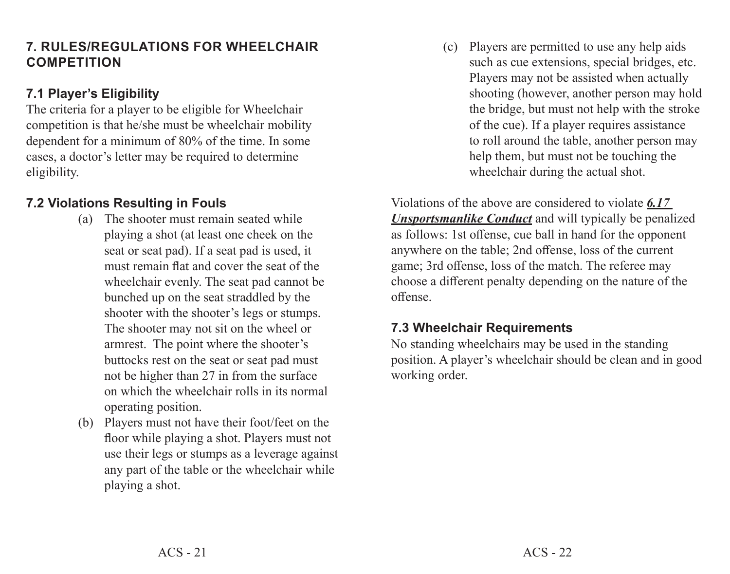#### **7. RULES/REGULATIONS FOR WHEELCHAIR COMPETITION**

#### **7.1 Player's Eligibility**

The criteria for a player to be eligible for Wheelchair competition is that he/she must be wheelchair mobility dependent for a minimum of 80% of the time. In some cases, a doctor's letter may be required to determine eligibility.

#### **7.2 Violations Resulting in Fouls**

- (a) The shooter must remain seated while playing a shot (at least one cheek on the seat or seat pad). If a seat pad is used, it must remain flat and cover the seat of the wheelchair evenly. The seat pad cannot be bunched up on the seat straddled by the shooter with the shooter's legs or stumps. The shooter may not sit on the wheel or armrest. The point where the shooter's buttocks rest on the seat or seat pad must not be higher than 27 in from the surface on which the wheelchair rolls in its normal operating position.
- (b) Players must not have their foot/feet on the floor while playing a shot. Players must not use their legs or stumps as a leverage against any part of the table or the wheelchair while playing a shot.

(c) Players are permitted to use any help aids such as cue extensions, special bridges, etc. Players may not be assisted when actually shooting (however, another person may hold the bridge, but must not help with the stroke of the cue). If a player requires assistance to roll around the table, another person may help them, but must not be touching the wheelchair during the actual shot.

Violations of the above are considered to violate *6.17 Unsportsmanlike Conduct* and will typically be penalized as follows: 1st offense, cue ball in hand for the opponent anywhere on the table; 2nd offense, loss of the current game; 3rd offense, loss of the match. The referee may choose a different penalty depending on the nature of the offense.

#### **7.3 Wheelchair Requirements**

No standing wheelchairs may be used in the standing position. A player's wheelchair should be clean and in good working order.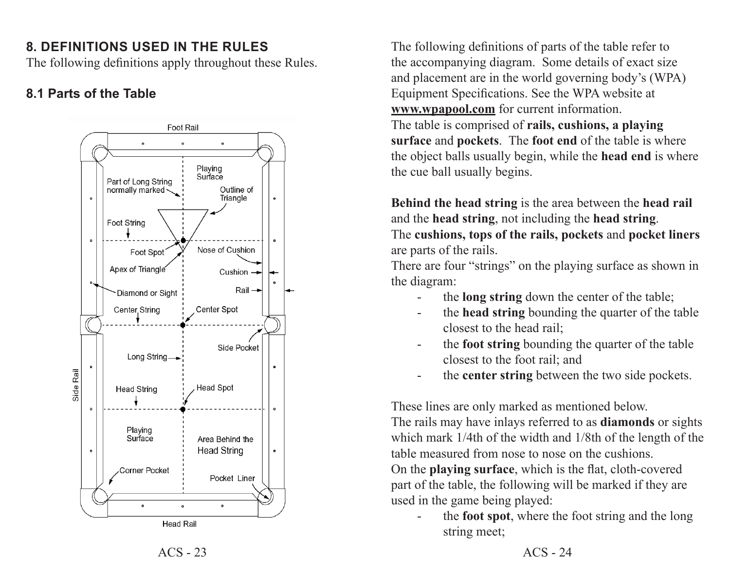#### **8. DEFINITIONS USED IN THE RULES**

The following definitions apply throughout these Rules.

#### **8.1 Parts of the Table**



The following definitions of parts of the table refer to the accompanying diagram. Some details of exact size and placement are in the world governing body's (WPA) Equipment Specifications. See the WPA website at **www.wpapool.com** for current information. The table is comprised of **rails, cushions, a playing surface** and **pockets**. The **foot end** of the table is where the object balls usually begin, while the **head end** is where the cue ball usually begins.

**Behind the head string** is the area between the **head rail** and the **head string**, not including the **head string**. The **cushions, tops of the rails, pockets** and **pocket liners** are parts of the rails.

There are four "strings" on the playing surface as shown in the diagram:

- the **long string** down the center of the table;
- the **head string** bounding the quarter of the table closest to the head rail;
- the **foot string** bounding the quarter of the table closest to the foot rail; and
- the **center string** between the two side pockets.

These lines are only marked as mentioned below.

The rails may have inlays referred to as **diamonds** or sights which mark 1/4th of the width and 1/8th of the length of the table measured from nose to nose on the cushions.

On the **playing surface**, which is the flat, cloth-covered part of the table, the following will be marked if they are used in the game being played:

the **foot spot**, where the foot string and the long string meet;

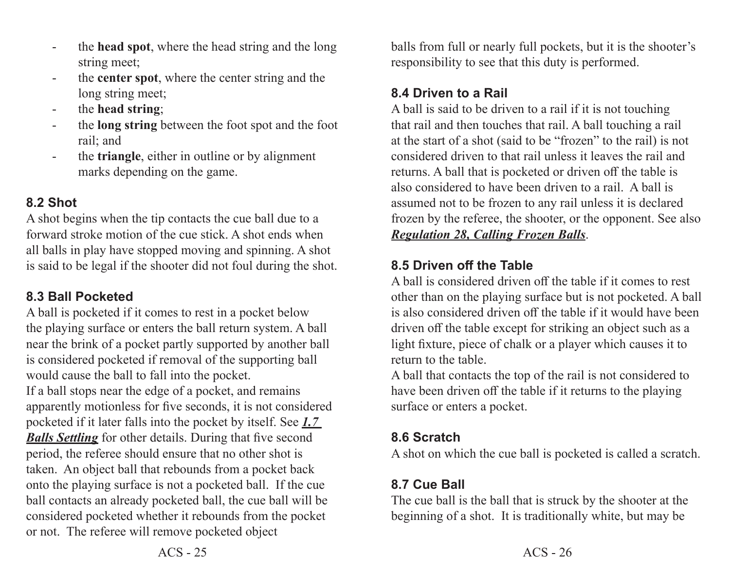- the **head spot**, where the head string and the long string meet;
- the **center spot**, where the center string and the long string meet;
- the **head string**;
- the **long string** between the foot spot and the foot rail; and
- the **triangle**, either in outline or by alignment marks depending on the game.

## **8.2 Shot**

A shot begins when the tip contacts the cue ball due to a forward stroke motion of the cue stick. A shot ends when all balls in play have stopped moving and spinning. A shot is said to be legal if the shooter did not foul during the shot.

## **8.3 Ball Pocketed**

A ball is pocketed if it comes to rest in a pocket below the playing surface or enters the ball return system. A ball near the brink of a pocket partly supported by another ball is considered pocketed if removal of the supporting ball would cause the ball to fall into the pocket. If a ball stops near the edge of a pocket, and remains apparently motionless for five seconds, it is not considered pocketed if it later falls into the pocket by itself. See *1.7 Balls Settling* for other details. During that five second period, the referee should ensure that no other shot is taken. An object ball that rebounds from a pocket back onto the playing surface is not a pocketed ball. If the cue ball contacts an already pocketed ball, the cue ball will be considered pocketed whether it rebounds from the pocket or not. The referee will remove pocketed object

balls from full or nearly full pockets, but it is the shooter's responsibility to see that this duty is performed.

## **8.4 Driven to a Rail**

A ball is said to be driven to a rail if it is not touching that rail and then touches that rail. A ball touching a rail at the start of a shot (said to be "frozen" to the rail) is not considered driven to that rail unless it leaves the rail and returns. A ball that is pocketed or driven off the table is also considered to have been driven to a rail. A ball is assumed not to be frozen to any rail unless it is declared frozen by the referee, the shooter, or the opponent. See also *Regulation 28, Calling Frozen Balls*.

## **8.5 Driven off the Table**

A ball is considered driven off the table if it comes to rest other than on the playing surface but is not pocketed. A ball is also considered driven off the table if it would have been driven off the table except for striking an object such as a light fixture, piece of chalk or a player which causes it to return to the table.

A ball that contacts the top of the rail is not considered to have been driven off the table if it returns to the playing surface or enters a pocket.

## **8.6 Scratch**

A shot on which the cue ball is pocketed is called a scratch.

## **8.7 Cue Ball**

The cue ball is the ball that is struck by the shooter at the beginning of a shot. It is traditionally white, but may be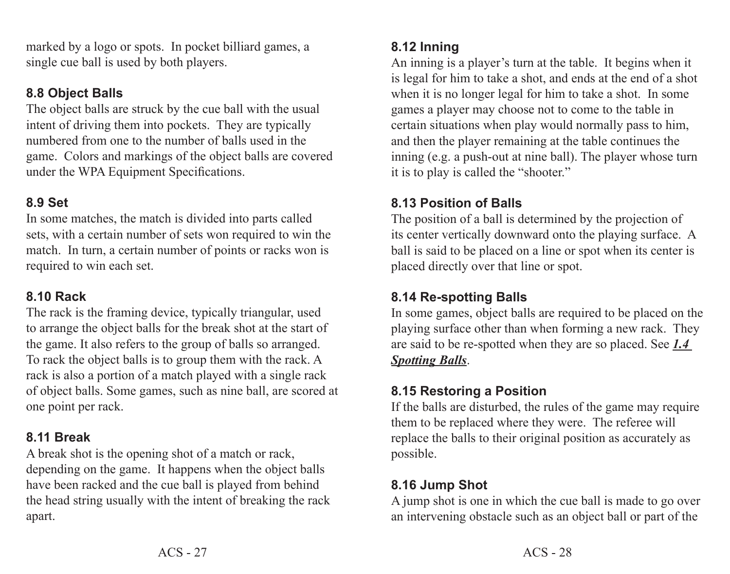marked by a logo or spots. In pocket billiard games, a single cue ball is used by both players.

#### **8.8 Object Balls**

The object balls are struck by the cue ball with the usual intent of driving them into pockets. They are typically numbered from one to the number of balls used in the game. Colors and markings of the object balls are covered under the WPA Equipment Specifications.

#### **8.9 Set**

In some matches, the match is divided into parts called sets, with a certain number of sets won required to win the match. In turn, a certain number of points or racks won is required to win each set.

## **8.10 Rack**

The rack is the framing device, typically triangular, used to arrange the object balls for the break shot at the start of the game. It also refers to the group of balls so arranged. To rack the object balls is to group them with the rack. A rack is also a portion of a match played with a single rack of object balls. Some games, such as nine ball, are scored at one point per rack.

## **8.11 Break**

A break shot is the opening shot of a match or rack, depending on the game. It happens when the object balls have been racked and the cue ball is played from behind the head string usually with the intent of breaking the rack apart.

## **8.12 Inning**

An inning is a player's turn at the table. It begins when it is legal for him to take a shot, and ends at the end of a shot when it is no longer legal for him to take a shot. In some games a player may choose not to come to the table in certain situations when play would normally pass to him, and then the player remaining at the table continues the inning (e.g. a push-out at nine ball). The player whose turn it is to play is called the "shooter."

## **8.13 Position of Balls**

The position of a ball is determined by the projection of its center vertically downward onto the playing surface. A ball is said to be placed on a line or spot when its center is placed directly over that line or spot.

## **8.14 Re-spotting Balls**

In some games, object balls are required to be placed on the playing surface other than when forming a new rack. They are said to be re-spotted when they are so placed. See *1.4 Spotting Balls*.

## **8.15 Restoring a Position**

If the balls are disturbed, the rules of the game may require them to be replaced where they were. The referee will replace the balls to their original position as accurately as possible.

## **8.16 Jump Shot**

A jump shot is one in which the cue ball is made to go over an intervening obstacle such as an object ball or part of the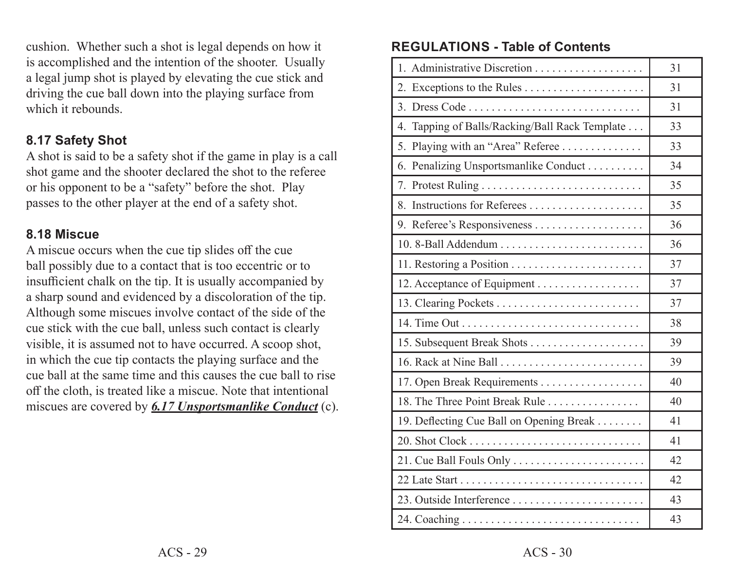cushion. Whether such a shot is legal depends on how it is accomplished and the intention of the shooter. Usually a legal jump shot is played by elevating the cue stick and driving the cue ball down into the playing surface from which it rebounds.

#### **8.17 Safety Shot**

A shot is said to be a safety shot if the game in play is a call shot game and the shooter declared the shot to the referee or his opponent to be a "safety" before the shot. Play passes to the other player at the end of a safety shot.

#### **8.18 Miscue**

A miscue occurs when the cue tip slides off the cue ball possibly due to a contact that is too eccentric or to insufficient chalk on the tip. It is usually accompanied by a sharp sound and evidenced by a discoloration of the tip. Although some miscues involve contact of the side of the cue stick with the cue ball, unless such contact is clearly visible, it is assumed not to have occurred. A scoop shot, in which the cue tip contacts the playing surface and the cue ball at the same time and this causes the cue ball to rise off the cloth, is treated like a miscue. Note that intentional miscues are covered by *6.17 Unsportsmanlike Conduct* (c).

#### **REGULATIONS - Table of Contents**

|                                                | 31 |
|------------------------------------------------|----|
|                                                | 31 |
|                                                | 31 |
| 4. Tapping of Balls/Racking/Ball Rack Template | 33 |
| 5. Playing with an "Area" Referee              | 33 |
| 6. Penalizing Unsportsmanlike Conduct          | 34 |
|                                                | 35 |
|                                                | 35 |
|                                                | 36 |
|                                                | 36 |
|                                                | 37 |
| 12. Acceptance of Equipment                    | 37 |
|                                                | 37 |
|                                                | 38 |
|                                                | 39 |
|                                                | 39 |
|                                                | 40 |
| 18. The Three Point Break Rule                 | 40 |
| 19. Deflecting Cue Ball on Opening Break       | 41 |
|                                                | 41 |
|                                                | 42 |
|                                                | 42 |
|                                                | 43 |
|                                                | 43 |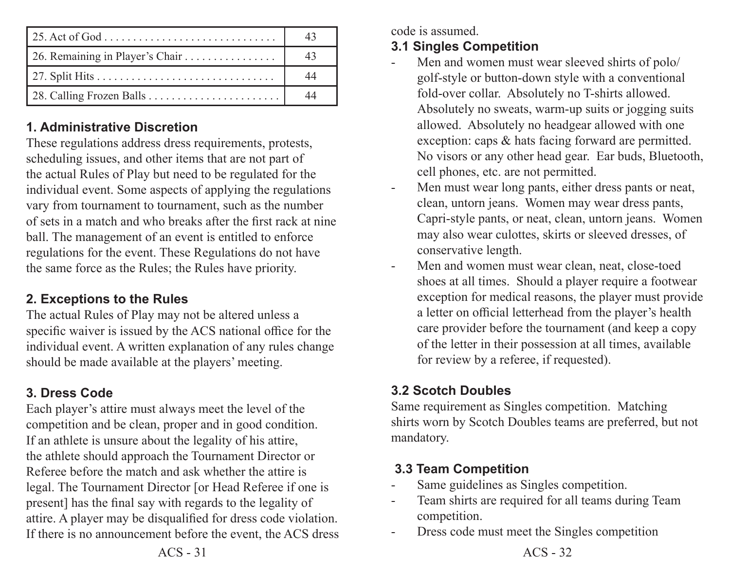| 26. Remaining in Player's Chair |  |
|---------------------------------|--|
|                                 |  |
|                                 |  |

## **1. Administrative Discretion**

These regulations address dress requirements, protests, scheduling issues, and other items that are not part of the actual Rules of Play but need to be regulated for the individual event. Some aspects of applying the regulations vary from tournament to tournament, such as the number of sets in a match and who breaks after the first rack at nine ball. The management of an event is entitled to enforce regulations for the event. These Regulations do not have the same force as the Rules; the Rules have priority.

## **2. Exceptions to the Rules**

The actual Rules of Play may not be altered unless a specific waiver is issued by the ACS national office for the individual event. A written explanation of any rules change should be made available at the players' meeting.

## **3. Dress Code**

Each player's attire must always meet the level of the competition and be clean, proper and in good condition. If an athlete is unsure about the legality of his attire, the athlete should approach the Tournament Director or Referee before the match and ask whether the attire is legal. The Tournament Director [or Head Referee if one is present] has the final say with regards to the legality of attire. A player may be disqualified for dress code violation. If there is no announcement before the event, the ACS dress code is assumed.

## **3.1 Singles Competition**

- Men and women must wear sleeved shirts of polo/ golf-style or button-down style with a conventional fold-over collar. Absolutely no T-shirts allowed. Absolutely no sweats, warm-up suits or jogging suits allowed. Absolutely no headgear allowed with one exception: caps & hats facing forward are permitted. No visors or any other head gear. Ear buds, Bluetooth, cell phones, etc. are not permitted.
- Men must wear long pants, either dress pants or neat, clean, untorn jeans. Women may wear dress pants, Capri-style pants, or neat, clean, untorn jeans. Women may also wear culottes, skirts or sleeved dresses, of conservative length.
- Men and women must wear clean, neat, close-toed shoes at all times. Should a player require a footwear exception for medical reasons, the player must provide a letter on official letterhead from the player's health care provider before the tournament (and keep a copy of the letter in their possession at all times, available for review by a referee, if requested).

## **3.2 Scotch Doubles**

Same requirement as Singles competition. Matching shirts worn by Scotch Doubles teams are preferred, but not mandatory.

## **3.3 Team Competition**

- Same guidelines as Singles competition.
- Team shirts are required for all teams during Team competition.
- Dress code must meet the Singles competition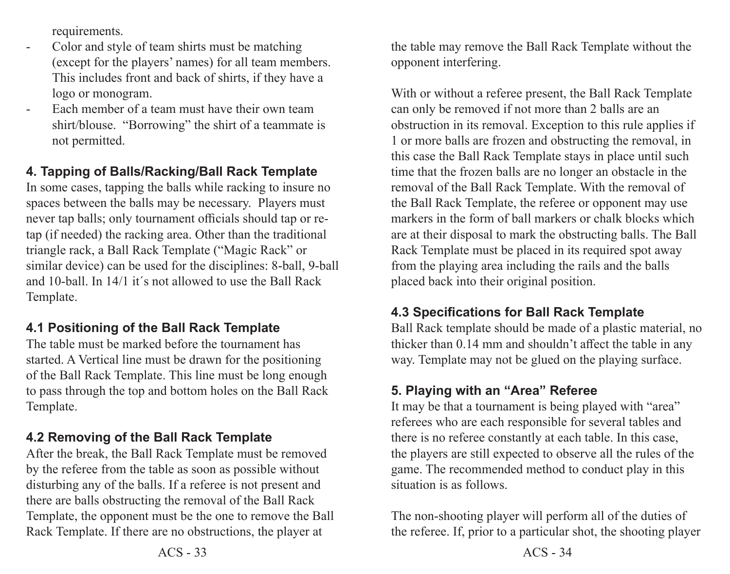requirements.

- Color and style of team shirts must be matching (except for the players' names) for all team members. This includes front and back of shirts, if they have a logo or monogram.
- Each member of a team must have their own team shirt/blouse. "Borrowing" the shirt of a teammate is not permitted.

## **4. Tapping of Balls/Racking/Ball Rack Template**

In some cases, tapping the balls while racking to insure no spaces between the balls may be necessary. Players must never tap balls; only tournament officials should tap or retap (if needed) the racking area. Other than the traditional triangle rack, a Ball Rack Template ("Magic Rack" or similar device) can be used for the disciplines: 8-ball, 9-ball and 10-ball. In 14/1 it´s not allowed to use the Ball Rack Template.

#### **4.1 Positioning of the Ball Rack Template**

The table must be marked before the tournament has started. A Vertical line must be drawn for the positioning of the Ball Rack Template. This line must be long enough to pass through the top and bottom holes on the Ball Rack Template.

#### **4.2 Removing of the Ball Rack Template**

After the break, the Ball Rack Template must be removed by the referee from the table as soon as possible without disturbing any of the balls. If a referee is not present and there are balls obstructing the removal of the Ball Rack Template, the opponent must be the one to remove the Ball Rack Template. If there are no obstructions, the player at

the table may remove the Ball Rack Template without the opponent interfering.

With or without a referee present, the Ball Rack Template can only be removed if not more than 2 balls are an obstruction in its removal. Exception to this rule applies if 1 or more balls are frozen and obstructing the removal, in this case the Ball Rack Template stays in place until such time that the frozen balls are no longer an obstacle in the removal of the Ball Rack Template. With the removal of the Ball Rack Template, the referee or opponent may use markers in the form of ball markers or chalk blocks which are at their disposal to mark the obstructing balls. The Ball Rack Template must be placed in its required spot away from the playing area including the rails and the balls placed back into their original position.

#### **4.3 Specifications for Ball Rack Template**

Ball Rack template should be made of a plastic material, no thicker than 0.14 mm and shouldn't affect the table in any way. Template may not be glued on the playing surface.

#### **5. Playing with an "Area" Referee**

It may be that a tournament is being played with "area" referees who are each responsible for several tables and there is no referee constantly at each table. In this case, the players are still expected to observe all the rules of the game. The recommended method to conduct play in this situation is as follows.

The non-shooting player will perform all of the duties of the referee. If, prior to a particular shot, the shooting player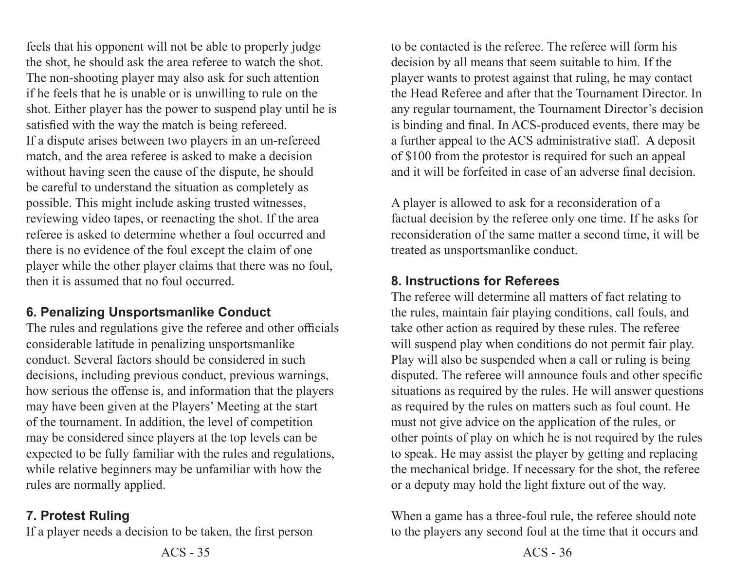feels that his opponent will not be able to properly judge the shot, he should ask the area referee to watch the shot. The non-shooting player may also ask for such attention if he feels that he is unable or is unwilling to rule on the shot. Either player has the power to suspend play until he is satisfied with the way the match is being refereed. If a dispute arises between two players in an un-refereed match, and the area referee is asked to make a decision without having seen the cause of the dispute, he should be careful to understand the situation as completely as possible. This might include asking trusted witnesses, reviewing video tapes, or reenacting the shot. If the area referee is asked to determine whether a foul occurred and there is no evidence of the foul except the claim of one player while the other player claims that there was no foul, then it is assumed that no foul occurred.

#### **6. Penalizing Unsportsmanlike Conduct**

The rules and regulations give the referee and other officials considerable latitude in penalizing unsportsmanlike conduct. Several factors should be considered in such decisions, including previous conduct, previous warnings, how serious the offense is, and information that the players may have been given at the Players' Meeting at the start of the tournament. In addition, the level of competition may be considered since players at the top levels can be expected to be fully familiar with the rules and regulations, while relative beginners may be unfamiliar with how the rules are normally applied.

#### **7. Protest Ruling**

If a player needs a decision to be taken, the first person

to be contacted is the referee. The referee will form his decision by all means that seem suitable to him. If the player wants to protest against that ruling, he may contact the Head Referee and after that the Tournament Director. In any regular tournament, the Tournament Director's decision is binding and final. In ACS-produced events, there may be a further appeal to the ACS administrative staff. A deposit of \$100 from the protestor is required for such an appeal and it will be forfeited in case of an adverse final decision.

A player is allowed to ask for a reconsideration of a factual decision by the referee only one time. If he asks for reconsideration of the same matter a second time, it will be treated as unsportsmanlike conduct.

#### **8. Instructions for Referees**

The referee will determine all matters of fact relating to the rules, maintain fair playing conditions, call fouls, and take other action as required by these rules. The referee will suspend play when conditions do not permit fair play. Play will also be suspended when a call or ruling is being disputed. The referee will announce fouls and other specific situations as required by the rules. He will answer questions as required by the rules on matters such as foul count. He must not give advice on the application of the rules, or other points of play on which he is not required by the rules to speak. He may assist the player by getting and replacing the mechanical bridge. If necessary for the shot, the referee or a deputy may hold the light fixture out of the way.

When a game has a three-foul rule, the referee should note to the players any second foul at the time that it occurs and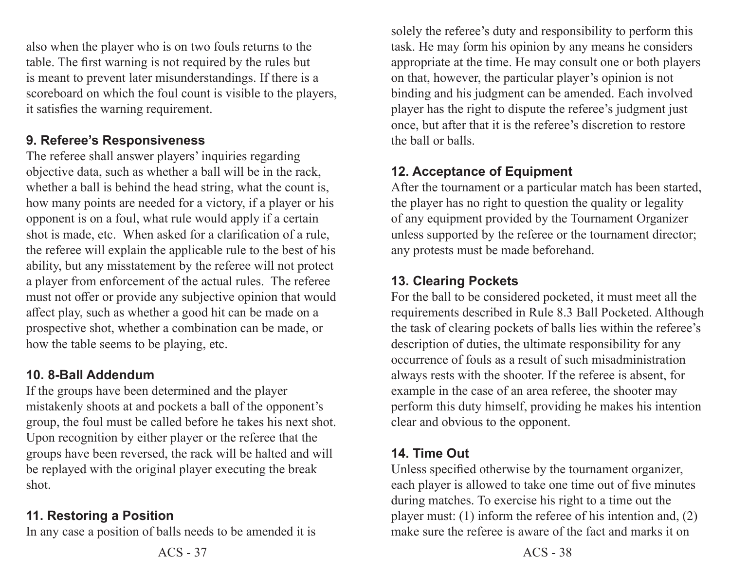also when the player who is on two fouls returns to the table. The first warning is not required by the rules but is meant to prevent later misunderstandings. If there is a scoreboard on which the foul count is visible to the players, it satisfies the warning requirement.

### **9. Referee's Responsiveness**

The referee shall answer players' inquiries regarding objective data, such as whether a ball will be in the rack, whether a ball is behind the head string, what the count is, how many points are needed for a victory, if a player or his opponent is on a foul, what rule would apply if a certain shot is made, etc. When asked for a clarification of a rule, the referee will explain the applicable rule to the best of his ability, but any misstatement by the referee will not protect a player from enforcement of the actual rules. The referee must not offer or provide any subjective opinion that would affect play, such as whether a good hit can be made on a prospective shot, whether a combination can be made, or how the table seems to be playing, etc.

#### **10. 8-Ball Addendum**

If the groups have been determined and the player mistakenly shoots at and pockets a ball of the opponent's group, the foul must be called before he takes his next shot. Upon recognition by either player or the referee that the groups have been reversed, the rack will be halted and will be replayed with the original player executing the break shot.

## **11. Restoring a Position**

In any case a position of balls needs to be amended it is

solely the referee's duty and responsibility to perform this task. He may form his opinion by any means he considers appropriate at the time. He may consult one or both players on that, however, the particular player's opinion is not binding and his judgment can be amended. Each involved player has the right to dispute the referee's judgment just once, but after that it is the referee's discretion to restore the ball or balls.

## **12. Acceptance of Equipment**

After the tournament or a particular match has been started, the player has no right to question the quality or legality of any equipment provided by the Tournament Organizer unless supported by the referee or the tournament director; any protests must be made beforehand.

## **13. Clearing Pockets**

For the ball to be considered pocketed, it must meet all the requirements described in Rule 8.3 Ball Pocketed. Although the task of clearing pockets of balls lies within the referee's description of duties, the ultimate responsibility for any occurrence of fouls as a result of such misadministration always rests with the shooter. If the referee is absent, for example in the case of an area referee, the shooter may perform this duty himself, providing he makes his intention clear and obvious to the opponent.

## **14. Time Out**

Unless specified otherwise by the tournament organizer, each player is allowed to take one time out of five minutes during matches. To exercise his right to a time out the player must: (1) inform the referee of his intention and, (2) make sure the referee is aware of the fact and marks it on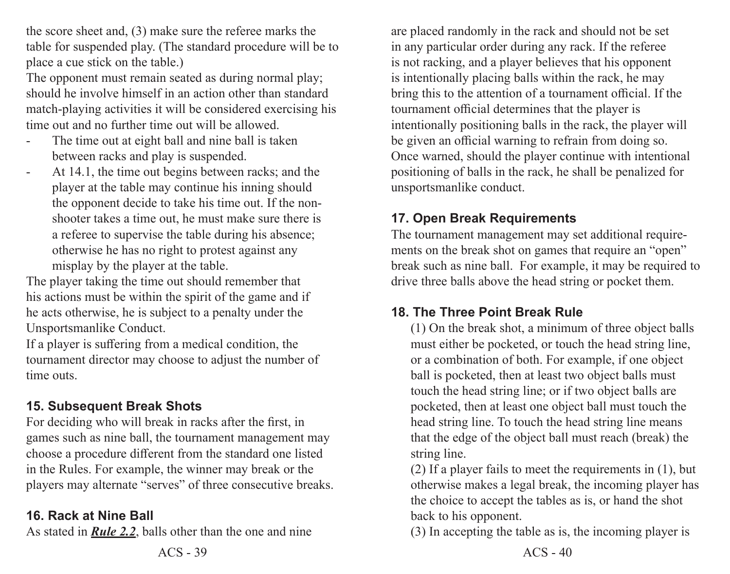the score sheet and, (3) make sure the referee marks the table for suspended play. (The standard procedure will be to place a cue stick on the table.)

The opponent must remain seated as during normal play; should he involve himself in an action other than standard match-playing activities it will be considered exercising his time out and no further time out will be allowed.

- The time out at eight ball and nine ball is taken between racks and play is suspended.
- At 14.1, the time out begins between racks; and the player at the table may continue his inning should the opponent decide to take his time out. If the nonshooter takes a time out, he must make sure there is a referee to supervise the table during his absence; otherwise he has no right to protest against any misplay by the player at the table.

The player taking the time out should remember that his actions must be within the spirit of the game and if he acts otherwise, he is subject to a penalty under the Unsportsmanlike Conduct.

If a player is suffering from a medical condition, the tournament director may choose to adjust the number of time outs.

## **15. Subsequent Break Shots**

For deciding who will break in racks after the first, in games such as nine ball, the tournament management may choose a procedure different from the standard one listed in the Rules. For example, the winner may break or the players may alternate "serves" of three consecutive breaks.

#### **16. Rack at Nine Ball**

As stated in *Rule 2.2*, balls other than the one and nine

are placed randomly in the rack and should not be set in any particular order during any rack. If the referee is not racking, and a player believes that his opponent is intentionally placing balls within the rack, he may bring this to the attention of a tournament official. If the tournament official determines that the player is intentionally positioning balls in the rack, the player will be given an official warning to refrain from doing so. Once warned, should the player continue with intentional positioning of balls in the rack, he shall be penalized for unsportsmanlike conduct.

## **17. Open Break Requirements**

The tournament management may set additional requirements on the break shot on games that require an "open" break such as nine ball. For example, it may be required to drive three balls above the head string or pocket them.

#### **18. The Three Point Break Rule**

(1) On the break shot, a minimum of three object balls must either be pocketed, or touch the head string line, or a combination of both. For example, if one object ball is pocketed, then at least two object balls must touch the head string line; or if two object balls are pocketed, then at least one object ball must touch the head string line. To touch the head string line means that the edge of the object ball must reach (break) the string line.

(2) If a player fails to meet the requirements in (1), but otherwise makes a legal break, the incoming player has the choice to accept the tables as is, or hand the shot back to his opponent.

(3) In accepting the table as is, the incoming player is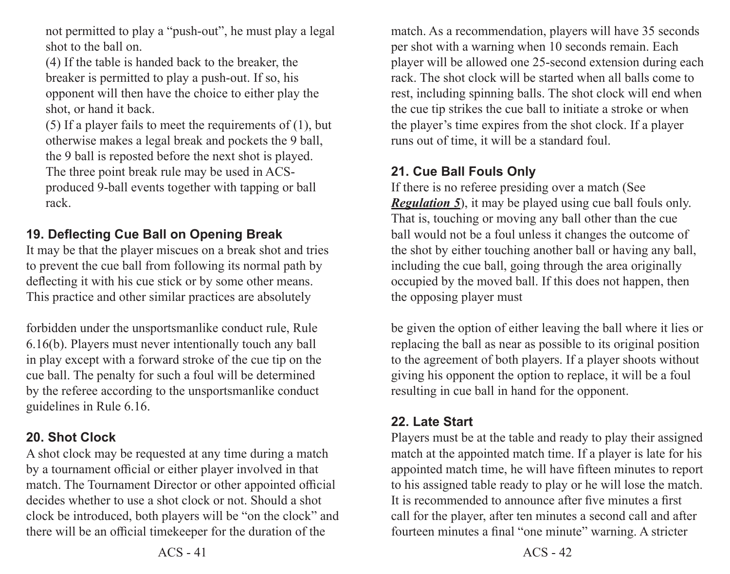not permitted to play a "push-out", he must play a legal shot to the ball on.

(4) If the table is handed back to the breaker, the breaker is permitted to play a push-out. If so, his opponent will then have the choice to either play the shot, or hand it back.

(5) If a player fails to meet the requirements of (1), but otherwise makes a legal break and pockets the 9 ball, the 9 ball is reposted before the next shot is played. The three point break rule may be used in ACSproduced 9-ball events together with tapping or ball rack.

#### **19. Deflecting Cue Ball on Opening Break**

It may be that the player miscues on a break shot and tries to prevent the cue ball from following its normal path by deflecting it with his cue stick or by some other means. This practice and other similar practices are absolutely

forbidden under the unsportsmanlike conduct rule, Rule 6.16(b). Players must never intentionally touch any ball in play except with a forward stroke of the cue tip on the cue ball. The penalty for such a foul will be determined by the referee according to the unsportsmanlike conduct guidelines in Rule 6.16.

#### **20. Shot Clock**

A shot clock may be requested at any time during a match by a tournament official or either player involved in that match. The Tournament Director or other appointed official decides whether to use a shot clock or not. Should a shot clock be introduced, both players will be "on the clock" and there will be an official timekeeper for the duration of the

match. As a recommendation, players will have 35 seconds per shot with a warning when 10 seconds remain. Each player will be allowed one 25-second extension during each rack. The shot clock will be started when all balls come to rest, including spinning balls. The shot clock will end when the cue tip strikes the cue ball to initiate a stroke or when the player's time expires from the shot clock. If a player runs out of time, it will be a standard foul.

#### **21. Cue Ball Fouls Only**

If there is no referee presiding over a match (See *Regulation 5*), it may be played using cue ball fouls only. That is, touching or moving any ball other than the cue ball would not be a foul unless it changes the outcome of the shot by either touching another ball or having any ball, including the cue ball, going through the area originally occupied by the moved ball. If this does not happen, then the opposing player must

be given the option of either leaving the ball where it lies or replacing the ball as near as possible to its original position to the agreement of both players. If a player shoots without giving his opponent the option to replace, it will be a foul resulting in cue ball in hand for the opponent.

#### **22. Late Start**

Players must be at the table and ready to play their assigned match at the appointed match time. If a player is late for his appointed match time, he will have fifteen minutes to report to his assigned table ready to play or he will lose the match. It is recommended to announce after five minutes a first call for the player, after ten minutes a second call and after fourteen minutes a final "one minute" warning. A stricter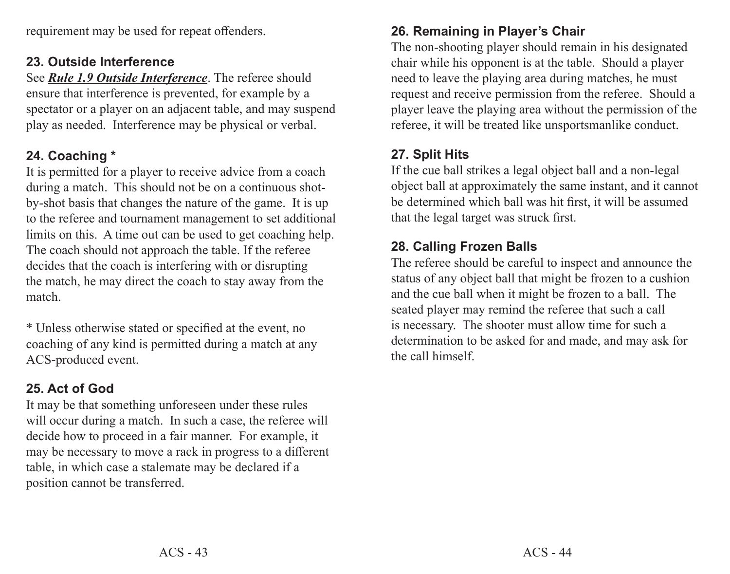requirement may be used for repeat offenders.

#### **23. Outside Interference**

See *Rule 1.9 Outside Interference*. The referee should ensure that interference is prevented, for example by a spectator or a player on an adjacent table, and may suspend play as needed. Interference may be physical or verbal.

#### **24. Coaching \***

It is permitted for a player to receive advice from a coach during a match. This should not be on a continuous shotby-shot basis that changes the nature of the game. It is up to the referee and tournament management to set additional limits on this. A time out can be used to get coaching help. The coach should not approach the table. If the referee decides that the coach is interfering with or disrupting the match, he may direct the coach to stay away from the match.

\* Unless otherwise stated or specified at the event, no coaching of any kind is permitted during a match at any ACS-produced event.

#### **25. Act of God**

It may be that something unforeseen under these rules will occur during a match. In such a case, the referee will decide how to proceed in a fair manner. For example, it may be necessary to move a rack in progress to a different table, in which case a stalemate may be declared if a position cannot be transferred.

#### **26. Remaining in Player's Chair**

The non-shooting player should remain in his designated chair while his opponent is at the table. Should a player need to leave the playing area during matches, he must request and receive permission from the referee. Should a player leave the playing area without the permission of the referee, it will be treated like unsportsmanlike conduct.

#### **27. Split Hits**

If the cue ball strikes a legal object ball and a non-legal object ball at approximately the same instant, and it cannot be determined which ball was hit first, it will be assumed that the legal target was struck first.

## **28. Calling Frozen Balls**

The referee should be careful to inspect and announce the status of any object ball that might be frozen to a cushion and the cue ball when it might be frozen to a ball. The seated player may remind the referee that such a call is necessary. The shooter must allow time for such a determination to be asked for and made, and may ask for the call himself.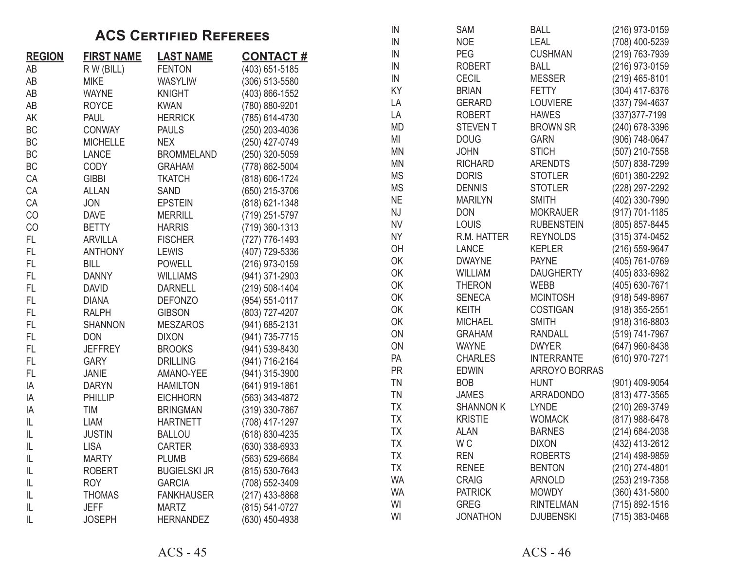| <b>ACS CERTIFIED REFEREES</b> |                   |                     |                 | IN<br>IN      | SAM<br><b>NOE</b> | <b>BALL</b><br>LEAL | (216) 973-0159<br>(708) 400-5239 |
|-------------------------------|-------------------|---------------------|-----------------|---------------|-------------------|---------------------|----------------------------------|
| <b>REGION</b>                 | <b>FIRST NAME</b> | <b>LAST NAME</b>    | <b>CONTACT#</b> | $\mathsf{IN}$ | PEG               | <b>CUSHMAN</b>      | (219) 763-7939                   |
| AB                            | R W (BILL)        | <b>FENTON</b>       | (403) 651-5185  | $\sf IN$      | <b>ROBERT</b>     | <b>BALL</b>         | (216) 973-0159                   |
| AB                            | <b>MIKE</b>       | WASYLIW             | (306) 513-5580  | IN            | CECIL             | <b>MESSER</b>       | (219) 465-8101                   |
| AB                            | <b>WAYNE</b>      | <b>KNIGHT</b>       | (403) 866-1552  | KY            | <b>BRIAN</b>      | <b>FETTY</b>        | (304) 417-6376                   |
| AB                            | <b>ROYCE</b>      | <b>KWAN</b>         | (780) 880-9201  | LA            | GERARD            | LOUVIERE            | (337) 794-4637                   |
| AK                            | <b>PAUL</b>       | <b>HERRICK</b>      | (785) 614-4730  | LA            | <b>ROBERT</b>     | <b>HAWES</b>        | (337) 377-7199                   |
| BC                            | <b>CONWAY</b>     | <b>PAULS</b>        | (250) 203-4036  | <b>MD</b>     | <b>STEVENT</b>    | <b>BROWN SR</b>     | (240) 678-3396                   |
| BC                            | <b>MICHELLE</b>   | <b>NEX</b>          | (250) 427-0749  | MI            | <b>DOUG</b>       | <b>GARN</b>         | (906) 748-0647                   |
| BC                            | LANCE             | <b>BROMMELAND</b>   | (250) 320-5059  | <b>MN</b>     | <b>JOHN</b>       | <b>STICH</b>        | (507) 210-7558                   |
| BC                            | CODY              | <b>GRAHAM</b>       | (778) 862-5004  | <b>MN</b>     | <b>RICHARD</b>    | <b>ARENDTS</b>      | (507) 838-7299                   |
| CA                            | <b>GIBBI</b>      | <b>TKATCH</b>       | (818) 606-1724  | <b>MS</b>     | <b>DORIS</b>      | <b>STOTLER</b>      | (601) 380-2292                   |
| CA                            | <b>ALLAN</b>      | SAND                | (650) 215-3706  | <b>MS</b>     | <b>DENNIS</b>     | <b>STOTLER</b>      | (228) 297-2292                   |
| CA                            | JON               | <b>EPSTEIN</b>      | (818) 621-1348  | <b>NE</b>     | <b>MARILYN</b>    | <b>SMITH</b>        | (402) 330-7990                   |
| CO                            | <b>DAVE</b>       | <b>MERRILL</b>      | (719) 251-5797  | <b>NJ</b>     | <b>DON</b>        | <b>MOKRAUER</b>     | (917) 701-1185                   |
| CO                            | <b>BETTY</b>      | <b>HARRIS</b>       | (719) 360-1313  | <b>NV</b>     | LOUIS             | <b>RUBENSTEIN</b>   | (805) 857-8445                   |
| FL                            | <b>ARVILLA</b>    | <b>FISCHER</b>      | (727) 776-1493  | <b>NY</b>     | R.M. HATTER       | <b>REYNOLDS</b>     | (315) 374-0452                   |
| FL                            | <b>ANTHONY</b>    | LEWIS               | (407) 729-5336  | OH            | LANCE             | <b>KEPLER</b>       | (216) 559-9647                   |
| FL                            | <b>BILL</b>       | <b>POWELL</b>       | (216) 973-0159  | OK            | <b>DWAYNE</b>     | <b>PAYNE</b>        | (405) 761-0769                   |
| FL                            | <b>DANNY</b>      | <b>WILLIAMS</b>     | (941) 371-2903  | OK            | WILLIAM           | <b>DAUGHERTY</b>    | (405) 833-6982                   |
| FL                            | <b>DAVID</b>      | DARNELL             | (219) 508-1404  | OK            | <b>THERON</b>     | WEBB                | (405) 630-7671                   |
| FL.                           | <b>DIANA</b>      | <b>DEFONZO</b>      | (954) 551-0117  | OK            | <b>SENECA</b>     | <b>MCINTOSH</b>     | (918) 549-8967                   |
| FL                            | <b>RALPH</b>      | <b>GIBSON</b>       | (803) 727-4207  | OK            | <b>KEITH</b>      | COSTIGAN            | (918) 355-2551                   |
| FL                            | <b>SHANNON</b>    | <b>MESZAROS</b>     | (941) 685-2131  | OK            | <b>MICHAEL</b>    | <b>SMITH</b>        | (918) 316-8803                   |
| FL                            | <b>DON</b>        | <b>DIXON</b>        | (941) 735-7715  | ON            | <b>GRAHAM</b>     | RANDALL             | (519) 741-7967                   |
| FL                            | <b>JEFFREY</b>    | <b>BROOKS</b>       | (941) 539-8430  | ON            | <b>WAYNE</b>      | <b>DWYER</b>        | (647) 960-8438                   |
| FL                            | <b>GARY</b>       | <b>DRILLING</b>     | (941) 716-2164  | PA            | <b>CHARLES</b>    | <b>INTERRANTE</b>   | (610) 970-7271                   |
| FL                            | JANIE             | AMANO-YEE           | (941) 315-3900  | PR            | <b>EDWIN</b>      | ARROYO BORRAS       |                                  |
| IA                            | <b>DARYN</b>      | <b>HAMILTON</b>     | (641) 919-1861  | <b>TN</b>     | <b>BOB</b>        | <b>HUNT</b>         | (901) 409-9054                   |
| IA                            | PHILLIP           | <b>EICHHORN</b>     | (563) 343-4872  | <b>TN</b>     | <b>JAMES</b>      | ARRADONDO           | (813) 477-3565                   |
| IA                            | <b>TIM</b>        | <b>BRINGMAN</b>     | (319) 330-7867  | <b>TX</b>     | <b>SHANNON K</b>  | LYNDE               | (210) 269-3749                   |
| IL                            | LIAM              | <b>HARTNETT</b>     | (708) 417-1297  | <b>TX</b>     | <b>KRISTIE</b>    | <b>WOMACK</b>       | (817) 988-6478                   |
| IL                            | <b>JUSTIN</b>     | <b>BALLOU</b>       | (618) 830-4235  | <b>TX</b>     | <b>ALAN</b>       | <b>BARNES</b>       | (214) 684-2038                   |
| IL                            | <b>LISA</b>       | CARTER              | (630) 338-6933  | <b>TX</b>     | W <sub>C</sub>    | <b>DIXON</b>        | (432) 413-2612                   |
| IL                            | <b>MARTY</b>      | <b>PLUMB</b>        | (563) 529-6684  | <b>TX</b>     | <b>REN</b>        | <b>ROBERTS</b>      | (214) 498-9859                   |
| IL                            | <b>ROBERT</b>     | <b>BUGIELSKI JR</b> | (815) 530-7643  | <b>TX</b>     | <b>RENEE</b>      | <b>BENTON</b>       | (210) 274-4801                   |
| IL                            | <b>ROY</b>        | <b>GARCIA</b>       | (708) 552-3409  | <b>WA</b>     | <b>CRAIG</b>      | ARNOLD              | (253) 219-7358                   |
| IL                            | <b>THOMAS</b>     | <b>FANKHAUSER</b>   | (217) 433-8868  | <b>WA</b>     | <b>PATRICK</b>    | <b>MOWDY</b>        | (360) 431-5800                   |
| IL                            | <b>JEFF</b>       | <b>MARTZ</b>        | (815) 541-0727  | WI            | <b>GREG</b>       | <b>RINTELMAN</b>    | (715) 892-1516                   |
| IL                            | <b>JOSEPH</b>     | <b>HERNANDEZ</b>    | (630) 450-4938  | WI            | <b>JONATHON</b>   | <b>DJUBENSKI</b>    | (715) 383-0468                   |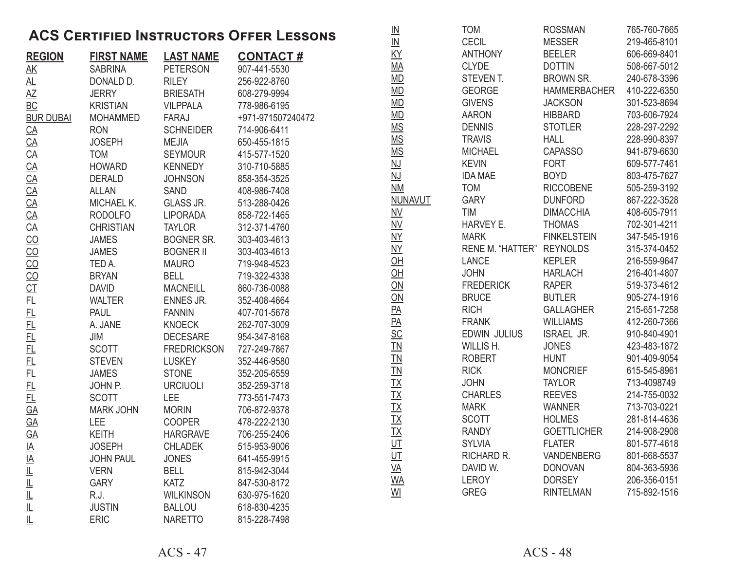## **ACS Certified Instructors Offer Lessons**

| <b>REGION</b>                              | <b>FIRST NAME</b> | <b>LAST NAME</b>   | <b>CONTACT#</b>   |
|--------------------------------------------|-------------------|--------------------|-------------------|
| <u>АК</u>                                  | <b>SABRINA</b>    | <b>PETERSON</b>    | 907-441-5530      |
| <u>AL</u>                                  | DONALD D.         | RILEY              | 256-922-8760      |
| <u>ΑZ</u>                                  | <b>JERRY</b>      | <b>BRIESATH</b>    | 608-279-9994      |
| <b>BC</b>                                  | <b>KRISTIAN</b>   | <b>VILPPALA</b>    | 778-986-6195      |
| <b>BUR DUBAI</b>                           | <b>MOHAMMED</b>   | <b>FARAJ</b>       | +971-971507240472 |
|                                            | <b>RON</b>        | <b>SCHNEIDER</b>   | 714-906-6411      |
|                                            | <b>JOSEPH</b>     | MEJIA              | 650-455-1815      |
|                                            | <b>TOM</b>        | SEYMOUR            | 415-577-1520      |
| <u>CA CA</u><br>CA CA<br>CA CA<br>CA<br>CA | <b>HOWARD</b>     | KENNEDY            | 310-710-5885      |
|                                            | <b>DERALD</b>     | <b>JOHNSON</b>     | 858-354-3525      |
|                                            | <b>ALLAN</b>      | SAND               | 408-986-7408      |
|                                            | MICHAEL K.        | GLASS JR.          | 513-288-0426      |
|                                            | <b>RODOLFO</b>    | LIPORADA           | 858-722-1465      |
| $\overline{CA}$                            | <b>CHRISTIAN</b>  | TAYLOR             | 312-371-4760      |
| <u>CO</u>                                  | <b>JAMES</b>      | <b>BOGNER SR.</b>  | 303-403-4613      |
| <u>CO</u>                                  | <b>JAMES</b>      | <b>BOGNER II</b>   | 303-403-4613      |
|                                            | TED A.            | <b>MAURO</b>       | 719-948-4523      |
|                                            | <b>BRYAN</b>      | <b>BELL</b>        | 719-322-4338      |
|                                            | DAVID             | MACNEILL           | 860-736-0088      |
|                                            | <b>WALTER</b>     | <b>ENNES JR.</b>   | 352-408-4664      |
|                                            | <b>PAUL</b>       | <b>FANNIN</b>      | 407-701-5678      |
|                                            | A. JANE           | <b>KNOECK</b>      | 262-707-3009      |
|                                            | <b>JIM</b>        | <b>DECESARE</b>    | 954-347-8168      |
|                                            | SCOTT             | <b>FREDRICKSON</b> | 727-249-7867      |
|                                            | <b>STEVEN</b>     | <b>LUSKEY</b>      | 352-446-9580      |
|                                            | <b>JAMES</b>      | <b>STONE</b>       | 352-205-6559      |
|                                            | JOHN P.           | <b>URCIUOLI</b>    | 352-259-3718      |
|                                            | SCOTT             | <b>LEE</b>         | 773-551-7473      |
|                                            | <b>MARK JOHN</b>  | <b>MORIN</b>       | 706-872-9378      |
| GA                                         | <b>LEE</b>        | <b>COOPER</b>      | 478-222-2130      |
| <u>GA</u>                                  | <b>KEITH</b>      | <b>HARGRAVE</b>    | 706-255-2406      |
|                                            | <b>JOSEPH</b>     | <b>CHLADEK</b>     | 515-953-9006      |
| <u>IA</u><br>I <u>IA</u><br>IL             | <b>JOHN PAUL</b>  | <b>JONES</b>       | 641-455-9915      |
|                                            | <b>VERN</b>       | <b>BELL</b>        | 815-942-3044      |
|                                            | <b>GARY</b>       | KATZ               | 847-530-8172      |
|                                            | R.J.              | <b>WILKINSON</b>   | 630-975-1620      |
| ll.<br>Il                                  | <b>JUSTIN</b>     | <b>BALLOU</b>      | 618-830-4235      |
| IL                                         | <b>ERIC</b>       | <b>NARETTO</b>     | 815-228-7498      |

| $\mathbb{N}$    | <b>TOM</b>                | <b>ROSSMAN</b>     | 765-760-7665 |
|-----------------|---------------------------|--------------------|--------------|
| $\mathbb{N}$    | <b>CECIL</b>              | <b>MESSER</b>      | 219-465-8101 |
| KY              | <b>ANTHONY</b>            | BEELER             | 606-669-8401 |
| MA              | CLYDE                     | <b>DOTTIN</b>      | 508-667-5012 |
| <b>MD</b>       | STEVEN T.                 | BROWN SR.          | 240-678-3396 |
| <b>MD</b>       | <b>GEORGE</b>             | HAMMERBACHER       | 410-222-6350 |
| <b>MD</b>       | <b>GIVENS</b>             | <b>JACKSON</b>     | 301-523-8694 |
| <b>MD</b>       | <b>AARON</b>              | HIBBARD            | 703-606-7924 |
| <b>MS</b>       | <b>DENNIS</b>             | <b>STOTLER</b>     | 228-297-2292 |
| <b>MS</b>       | <b>TRAVIS</b>             | <b>HALL</b>        | 228-990-8397 |
| <b>MS</b>       | <b>MICHAEL</b>            | CAPASSO            | 941-879-6630 |
| <b>NJ</b>       | <b>KEVIN</b>              | FORT               | 609-577-7461 |
| NJ              | <b>IDA MAE</b>            | <b>BOYD</b>        | 803-475-7627 |
| <b>NM</b>       | <b>TOM</b>                | <b>RICCOBENE</b>   | 505-259-3192 |
| NUNAVUT         | <b>GARY</b>               | DUNFORD            | 867-222-3528 |
| N <sub>V</sub>  | <b>TIM</b>                | <b>DIMACCHIA</b>   | 408-605-7911 |
| N <sub>V</sub>  | HARVEY E.                 | <b>THOMAS</b>      | 702-301-4211 |
| <b>NY</b>       | <b>MARK</b>               | <b>FINKELSTEIN</b> | 347-545-1916 |
| NY              | RENE M. "HATTER" REYNOLDS |                    | 315-374-0452 |
| OH              | LANCE                     | <b>KEPLER</b>      | 216-559-9647 |
| OH              | <b>JOHN</b>               | <b>HARLACH</b>     | 216-401-4807 |
| ON              | <b>FREDERICK</b>          | <b>RAPER</b>       | 519-373-4612 |
| ON              | <b>BRUCE</b>              | <b>BUTLER</b>      | 905-274-1916 |
| PA              | <b>RICH</b>               | GALLAGHER          | 215-651-7258 |
| PA              | <b>FRANK</b>              | <b>WILLIAMS</b>    | 412-260-7366 |
| <b>SC</b>       | <b>EDWIN JULIUS</b>       | <b>ISRAEL JR.</b>  | 910-840-4901 |
| <b>TN</b>       | WILLIS H.                 | <b>JONES</b>       | 423-483-1872 |
| <b>TN</b>       | <b>ROBERT</b>             | <b>HUNT</b>        | 901-409-9054 |
| $\overline{10}$ | <b>RICK</b>               | <b>MONCRIEF</b>    | 615-545-8961 |
| $\frac{TX}{TX}$ | <b>JOHN</b>               | <b>TAYLOR</b>      | 713-4098749  |
|                 | <b>CHARLES</b>            | <b>REEVES</b>      | 214-755-0032 |
| IX              | <b>MARK</b>               | WANNER             | 713-703-0221 |
| $\overline{TX}$ | SCOTT                     | <b>HOLMES</b>      | 281-814-4636 |
| <b>TX</b>       | RANDY                     | <b>GOETTLICHER</b> | 214-908-2908 |
| UT              | <b>SYLVIA</b>             | <b>FLATER</b>      | 801-577-4618 |
| UT              | RICHARD R.                | VANDENBERG         | 801-668-5537 |
| VA              | DAVID W.                  | <b>DONOVAN</b>     | 804-363-5936 |
| <b>WA</b>       | LEROY                     | <b>DORSEY</b>      | 206-356-0151 |
| WI              | <b>GREG</b>               | <b>RINTELMAN</b>   | 715-892-1516 |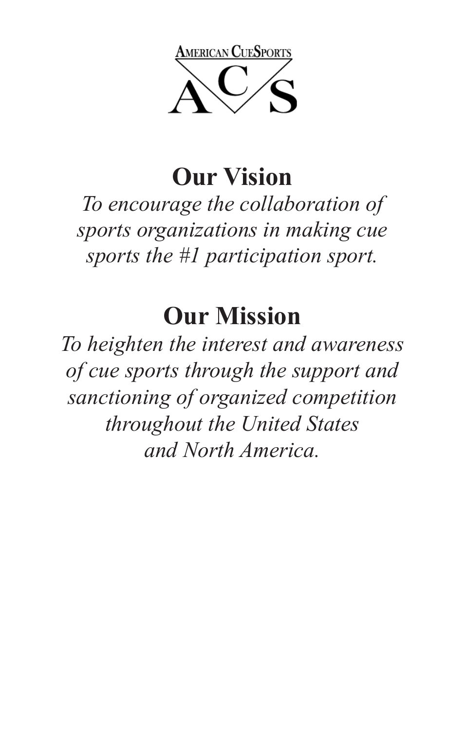

## **Our Vision**

*To encourage the collaboration of sports organizations in making cue sports the #1 participation sport.*

## **Our Mission**

*To heighten the interest and awareness of cue sports through the support and sanctioning of organized competition throughout the United States and North America.*